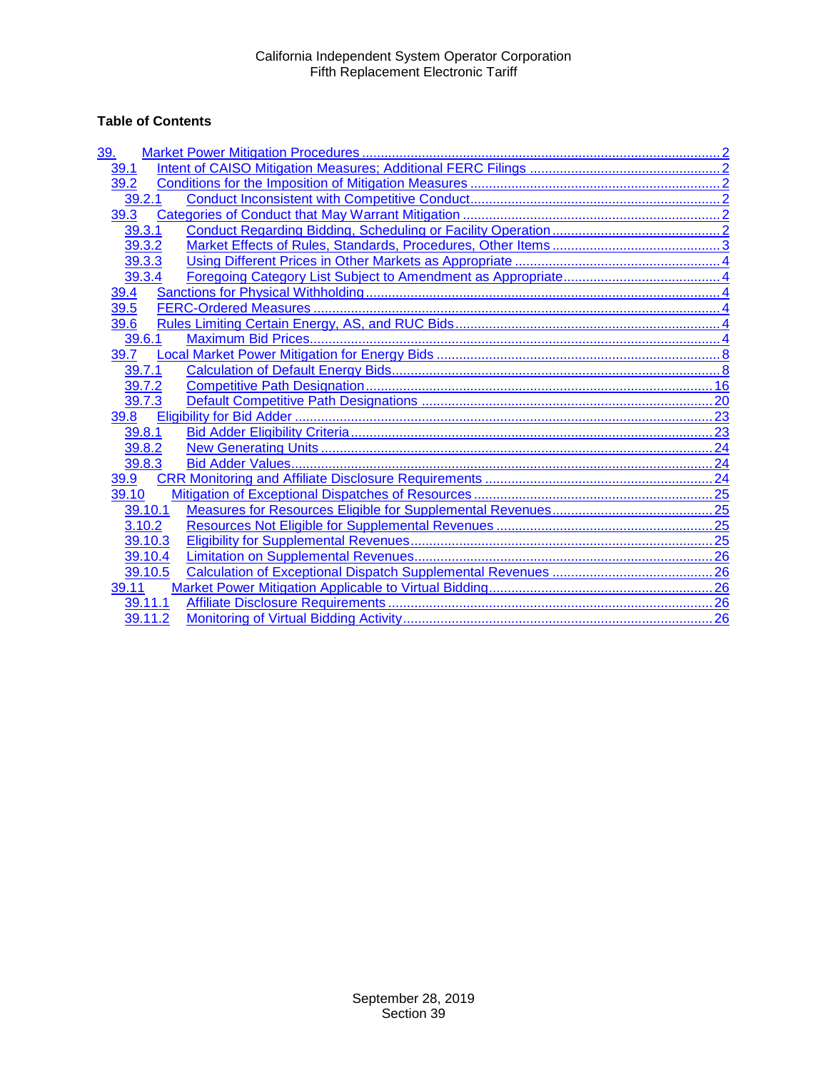# **Table of Contents**

| 39.     |  |
|---------|--|
| 39.1    |  |
| 39.2    |  |
| 39.2.1  |  |
| 39.3    |  |
| 39.3.1  |  |
| 39.3.2  |  |
| 39.3.3  |  |
| 39.3.4  |  |
| 39.4    |  |
| 39.5    |  |
| 39.6    |  |
| 39.6.1  |  |
| 39.7    |  |
| 39.7.1  |  |
| 39.7.2  |  |
| 39.7.3  |  |
| 39.8    |  |
| 39.8.1  |  |
| 39.8.2  |  |
| 39.8.3  |  |
| 39.9    |  |
| 39.10   |  |
| 39.10.1 |  |
| 3.10.2  |  |
| 39.10.3 |  |
| 39.10.4 |  |
| 39.10.5 |  |
| 39.11   |  |
| 39.11.1 |  |
| 39.11.2 |  |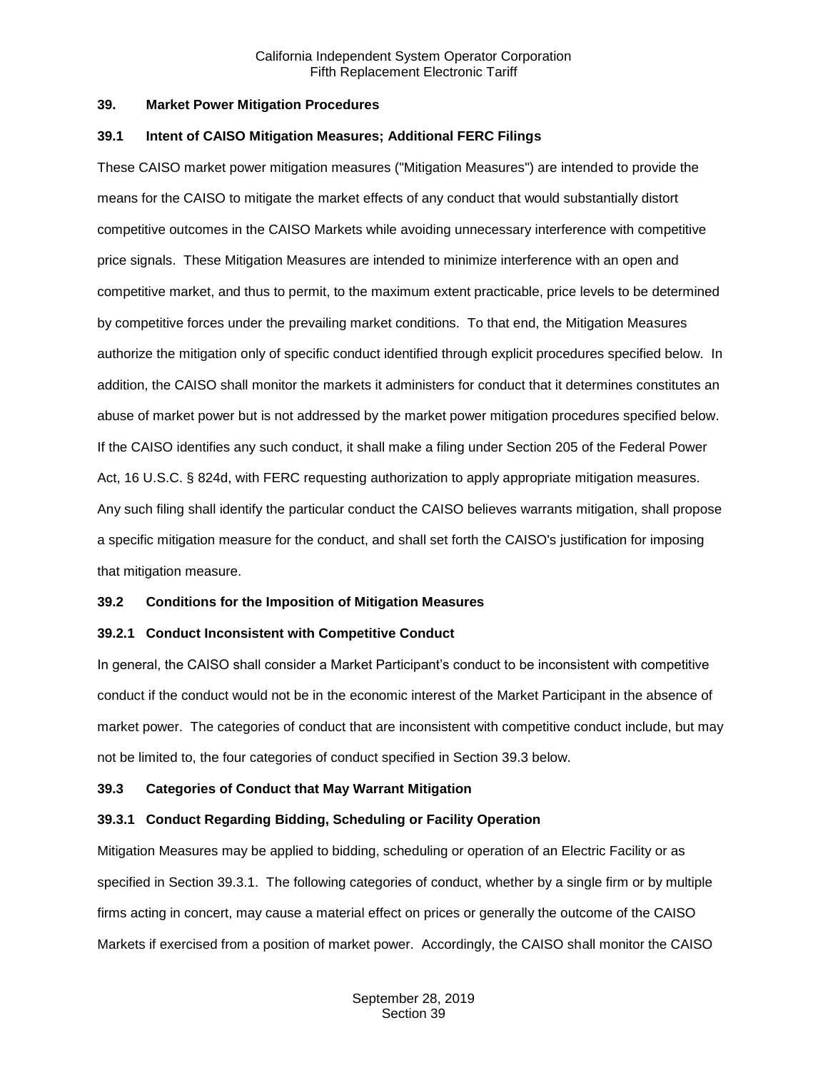#### <span id="page-1-0"></span>**39. Market Power Mitigation Procedures**

#### <span id="page-1-1"></span>**39.1 Intent of CAISO Mitigation Measures; Additional FERC Filings**

These CAISO market power mitigation measures ("Mitigation Measures") are intended to provide the means for the CAISO to mitigate the market effects of any conduct that would substantially distort competitive outcomes in the CAISO Markets while avoiding unnecessary interference with competitive price signals. These Mitigation Measures are intended to minimize interference with an open and competitive market, and thus to permit, to the maximum extent practicable, price levels to be determined by competitive forces under the prevailing market conditions. To that end, the Mitigation Measures authorize the mitigation only of specific conduct identified through explicit procedures specified below. In addition, the CAISO shall monitor the markets it administers for conduct that it determines constitutes an abuse of market power but is not addressed by the market power mitigation procedures specified below. If the CAISO identifies any such conduct, it shall make a filing under Section 205 of the Federal Power Act, 16 U.S.C. § 824d, with FERC requesting authorization to apply appropriate mitigation measures. Any such filing shall identify the particular conduct the CAISO believes warrants mitigation, shall propose a specific mitigation measure for the conduct, and shall set forth the CAISO's justification for imposing that mitigation measure.

# <span id="page-1-2"></span>**39.2 Conditions for the Imposition of Mitigation Measures**

# <span id="page-1-3"></span>**39.2.1 Conduct Inconsistent with Competitive Conduct**

In general, the CAISO shall consider a Market Participant's conduct to be inconsistent with competitive conduct if the conduct would not be in the economic interest of the Market Participant in the absence of market power. The categories of conduct that are inconsistent with competitive conduct include, but may not be limited to, the four categories of conduct specified in Section 39.3 below.

#### <span id="page-1-4"></span>**39.3 Categories of Conduct that May Warrant Mitigation**

# <span id="page-1-5"></span>**39.3.1 Conduct Regarding Bidding, Scheduling or Facility Operation**

Mitigation Measures may be applied to bidding, scheduling or operation of an Electric Facility or as specified in Section 39.3.1. The following categories of conduct, whether by a single firm or by multiple firms acting in concert, may cause a material effect on prices or generally the outcome of the CAISO Markets if exercised from a position of market power. Accordingly, the CAISO shall monitor the CAISO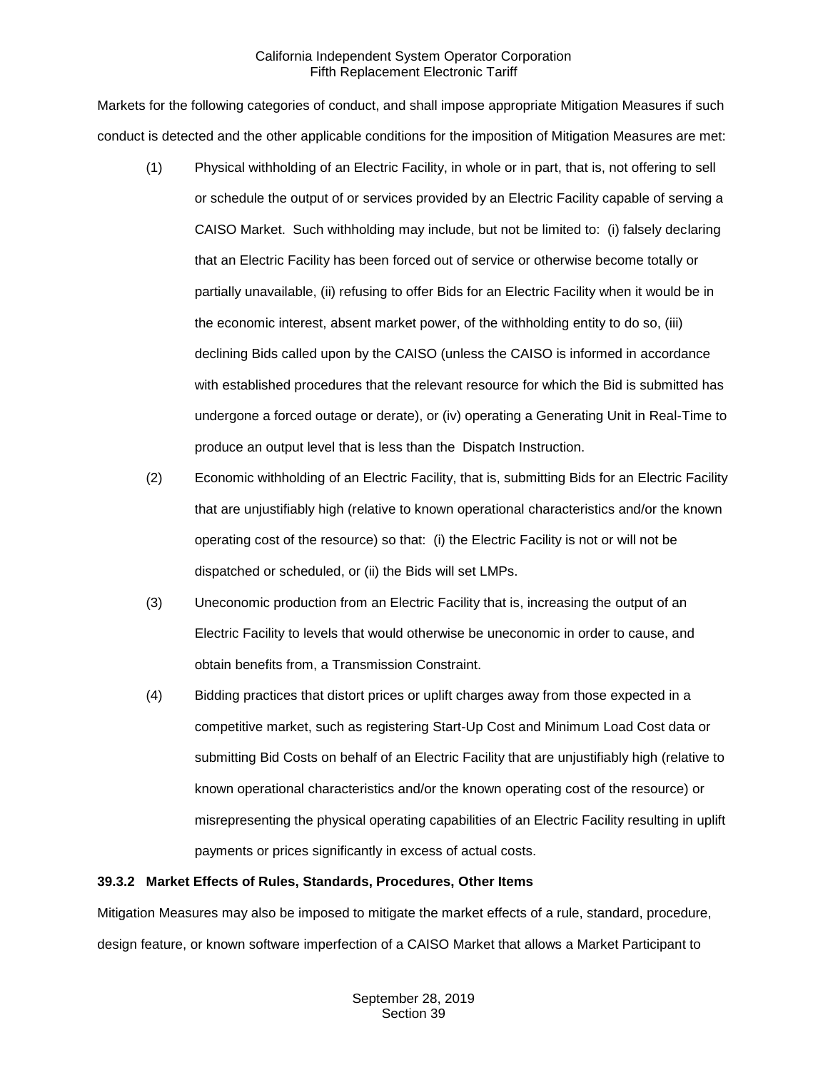Markets for the following categories of conduct, and shall impose appropriate Mitigation Measures if such conduct is detected and the other applicable conditions for the imposition of Mitigation Measures are met:

- (1) Physical withholding of an Electric Facility, in whole or in part, that is, not offering to sell or schedule the output of or services provided by an Electric Facility capable of serving a CAISO Market. Such withholding may include, but not be limited to: (i) falsely declaring that an Electric Facility has been forced out of service or otherwise become totally or partially unavailable, (ii) refusing to offer Bids for an Electric Facility when it would be in the economic interest, absent market power, of the withholding entity to do so, (iii) declining Bids called upon by the CAISO (unless the CAISO is informed in accordance with established procedures that the relevant resource for which the Bid is submitted has undergone a forced outage or derate), or (iv) operating a Generating Unit in Real-Time to produce an output level that is less than the Dispatch Instruction.
- (2) Economic withholding of an Electric Facility, that is, submitting Bids for an Electric Facility that are unjustifiably high (relative to known operational characteristics and/or the known operating cost of the resource) so that: (i) the Electric Facility is not or will not be dispatched or scheduled, or (ii) the Bids will set LMPs.
- (3) Uneconomic production from an Electric Facility that is, increasing the output of an Electric Facility to levels that would otherwise be uneconomic in order to cause, and obtain benefits from, a Transmission Constraint.
- (4) Bidding practices that distort prices or uplift charges away from those expected in a competitive market, such as registering Start-Up Cost and Minimum Load Cost data or submitting Bid Costs on behalf of an Electric Facility that are unjustifiably high (relative to known operational characteristics and/or the known operating cost of the resource) or misrepresenting the physical operating capabilities of an Electric Facility resulting in uplift payments or prices significantly in excess of actual costs.

# <span id="page-2-0"></span>**39.3.2 Market Effects of Rules, Standards, Procedures, Other Items**

Mitigation Measures may also be imposed to mitigate the market effects of a rule, standard, procedure, design feature, or known software imperfection of a CAISO Market that allows a Market Participant to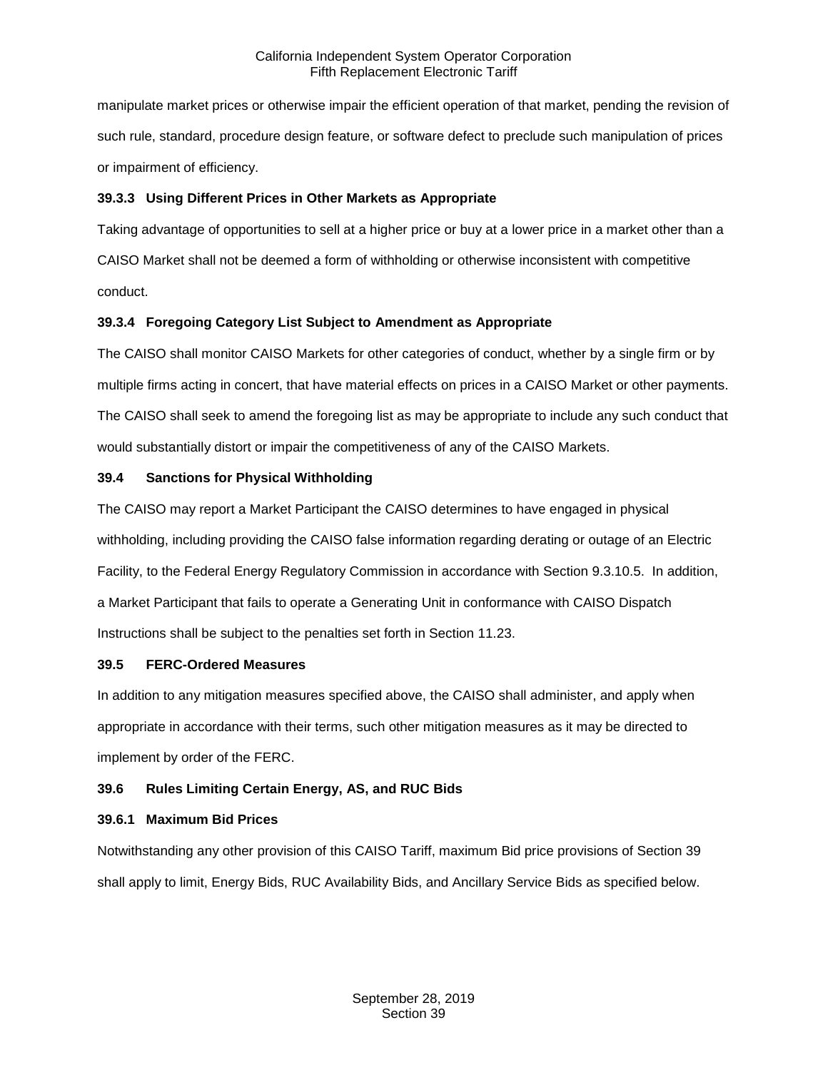manipulate market prices or otherwise impair the efficient operation of that market, pending the revision of such rule, standard, procedure design feature, or software defect to preclude such manipulation of prices or impairment of efficiency.

# <span id="page-3-0"></span>**39.3.3 Using Different Prices in Other Markets as Appropriate**

Taking advantage of opportunities to sell at a higher price or buy at a lower price in a market other than a CAISO Market shall not be deemed a form of withholding or otherwise inconsistent with competitive conduct.

# <span id="page-3-1"></span>**39.3.4 Foregoing Category List Subject to Amendment as Appropriate**

The CAISO shall monitor CAISO Markets for other categories of conduct, whether by a single firm or by multiple firms acting in concert, that have material effects on prices in a CAISO Market or other payments. The CAISO shall seek to amend the foregoing list as may be appropriate to include any such conduct that would substantially distort or impair the competitiveness of any of the CAISO Markets.

# <span id="page-3-2"></span>**39.4 Sanctions for Physical Withholding**

The CAISO may report a Market Participant the CAISO determines to have engaged in physical withholding, including providing the CAISO false information regarding derating or outage of an Electric Facility, to the Federal Energy Regulatory Commission in accordance with Section 9.3.10.5. In addition, a Market Participant that fails to operate a Generating Unit in conformance with CAISO Dispatch Instructions shall be subject to the penalties set forth in Section 11.23.

# <span id="page-3-3"></span>**39.5 FERC-Ordered Measures**

In addition to any mitigation measures specified above, the CAISO shall administer, and apply when appropriate in accordance with their terms, such other mitigation measures as it may be directed to implement by order of the FERC.

# <span id="page-3-4"></span>**39.6 Rules Limiting Certain Energy, AS, and RUC Bids**

# <span id="page-3-5"></span>**39.6.1 Maximum Bid Prices**

Notwithstanding any other provision of this CAISO Tariff, maximum Bid price provisions of Section 39 shall apply to limit, Energy Bids, RUC Availability Bids, and Ancillary Service Bids as specified below.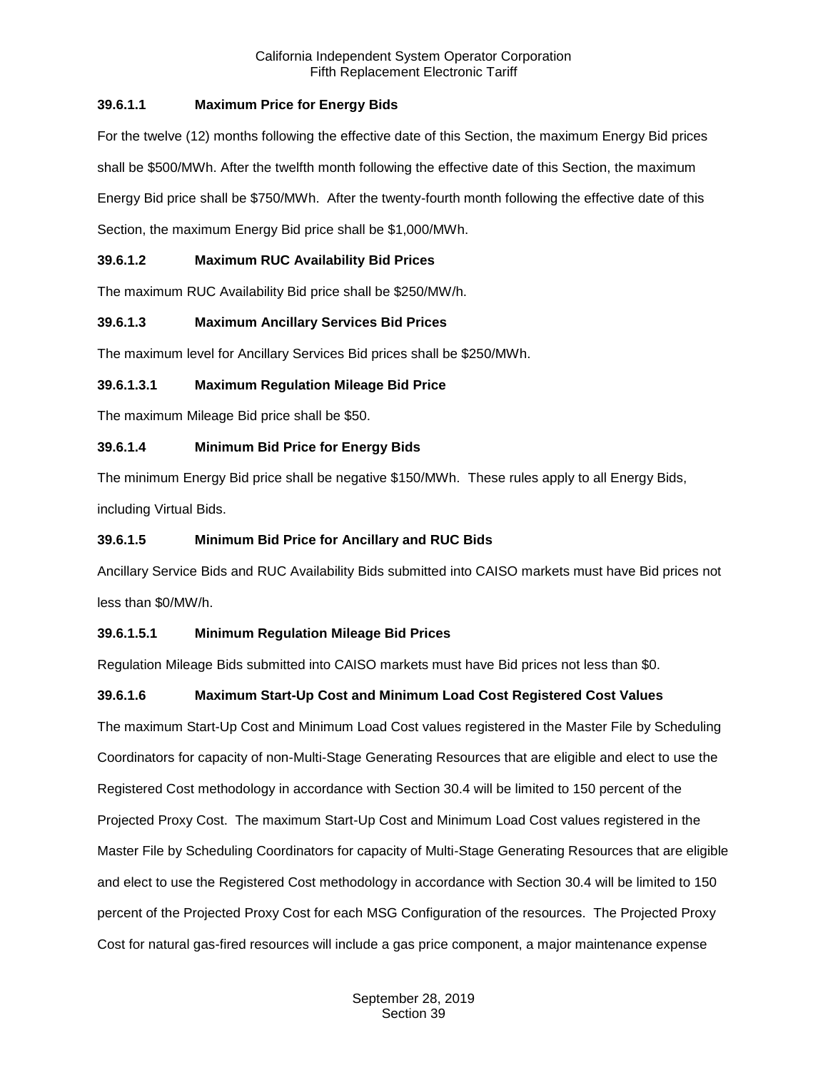# **39.6.1.1 Maximum Price for Energy Bids**

For the twelve (12) months following the effective date of this Section, the maximum Energy Bid prices shall be \$500/MWh. After the twelfth month following the effective date of this Section, the maximum Energy Bid price shall be \$750/MWh. After the twenty-fourth month following the effective date of this Section, the maximum Energy Bid price shall be \$1,000/MWh.

# **39.6.1.2 Maximum RUC Availability Bid Prices**

The maximum RUC Availability Bid price shall be \$250/MW/h.

# **39.6.1.3 Maximum Ancillary Services Bid Prices**

The maximum level for Ancillary Services Bid prices shall be \$250/MWh.

# **39.6.1.3.1 Maximum Regulation Mileage Bid Price**

The maximum Mileage Bid price shall be \$50.

# **39.6.1.4 Minimum Bid Price for Energy Bids**

The minimum Energy Bid price shall be negative \$150/MWh. These rules apply to all Energy Bids, including Virtual Bids.

# **39.6.1.5 Minimum Bid Price for Ancillary and RUC Bids**

Ancillary Service Bids and RUC Availability Bids submitted into CAISO markets must have Bid prices not less than \$0/MW/h.

# **39.6.1.5.1 Minimum Regulation Mileage Bid Prices**

Regulation Mileage Bids submitted into CAISO markets must have Bid prices not less than \$0.

# **39.6.1.6 Maximum Start-Up Cost and Minimum Load Cost Registered Cost Values**

The maximum Start-Up Cost and Minimum Load Cost values registered in the Master File by Scheduling Coordinators for capacity of non-Multi-Stage Generating Resources that are eligible and elect to use the Registered Cost methodology in accordance with Section 30.4 will be limited to 150 percent of the Projected Proxy Cost. The maximum Start-Up Cost and Minimum Load Cost values registered in the Master File by Scheduling Coordinators for capacity of Multi-Stage Generating Resources that are eligible and elect to use the Registered Cost methodology in accordance with Section 30.4 will be limited to 150 percent of the Projected Proxy Cost for each MSG Configuration of the resources. The Projected Proxy Cost for natural gas-fired resources will include a gas price component, a major maintenance expense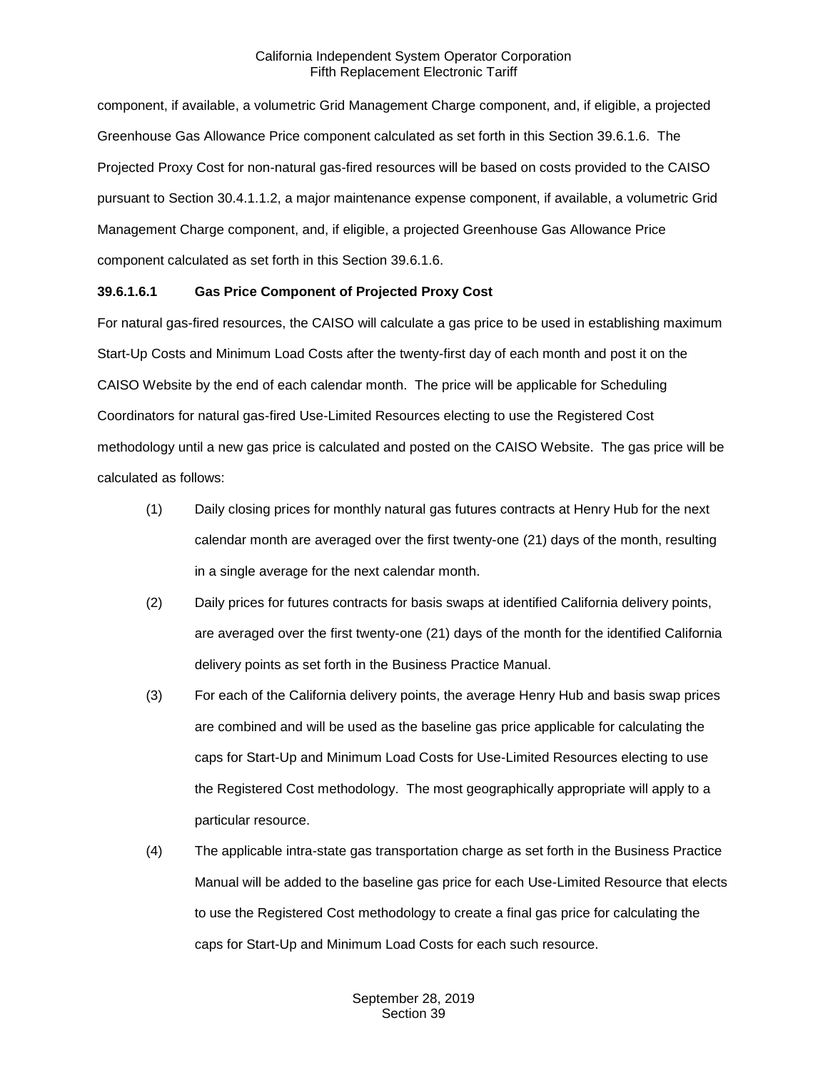component, if available, a volumetric Grid Management Charge component, and, if eligible, a projected Greenhouse Gas Allowance Price component calculated as set forth in this Section 39.6.1.6. The Projected Proxy Cost for non-natural gas-fired resources will be based on costs provided to the CAISO pursuant to Section 30.4.1.1.2, a major maintenance expense component, if available, a volumetric Grid Management Charge component, and, if eligible, a projected Greenhouse Gas Allowance Price component calculated as set forth in this Section 39.6.1.6.

# **39.6.1.6.1 Gas Price Component of Projected Proxy Cost**

For natural gas-fired resources, the CAISO will calculate a gas price to be used in establishing maximum Start-Up Costs and Minimum Load Costs after the twenty-first day of each month and post it on the CAISO Website by the end of each calendar month. The price will be applicable for Scheduling Coordinators for natural gas-fired Use-Limited Resources electing to use the Registered Cost methodology until a new gas price is calculated and posted on the CAISO Website. The gas price will be calculated as follows:

- (1) Daily closing prices for monthly natural gas futures contracts at Henry Hub for the next calendar month are averaged over the first twenty-one (21) days of the month, resulting in a single average for the next calendar month.
- (2) Daily prices for futures contracts for basis swaps at identified California delivery points, are averaged over the first twenty-one (21) days of the month for the identified California delivery points as set forth in the Business Practice Manual.
- (3) For each of the California delivery points, the average Henry Hub and basis swap prices are combined and will be used as the baseline gas price applicable for calculating the caps for Start-Up and Minimum Load Costs for Use-Limited Resources electing to use the Registered Cost methodology. The most geographically appropriate will apply to a particular resource.
- (4) The applicable intra-state gas transportation charge as set forth in the Business Practice Manual will be added to the baseline gas price for each Use-Limited Resource that elects to use the Registered Cost methodology to create a final gas price for calculating the caps for Start-Up and Minimum Load Costs for each such resource.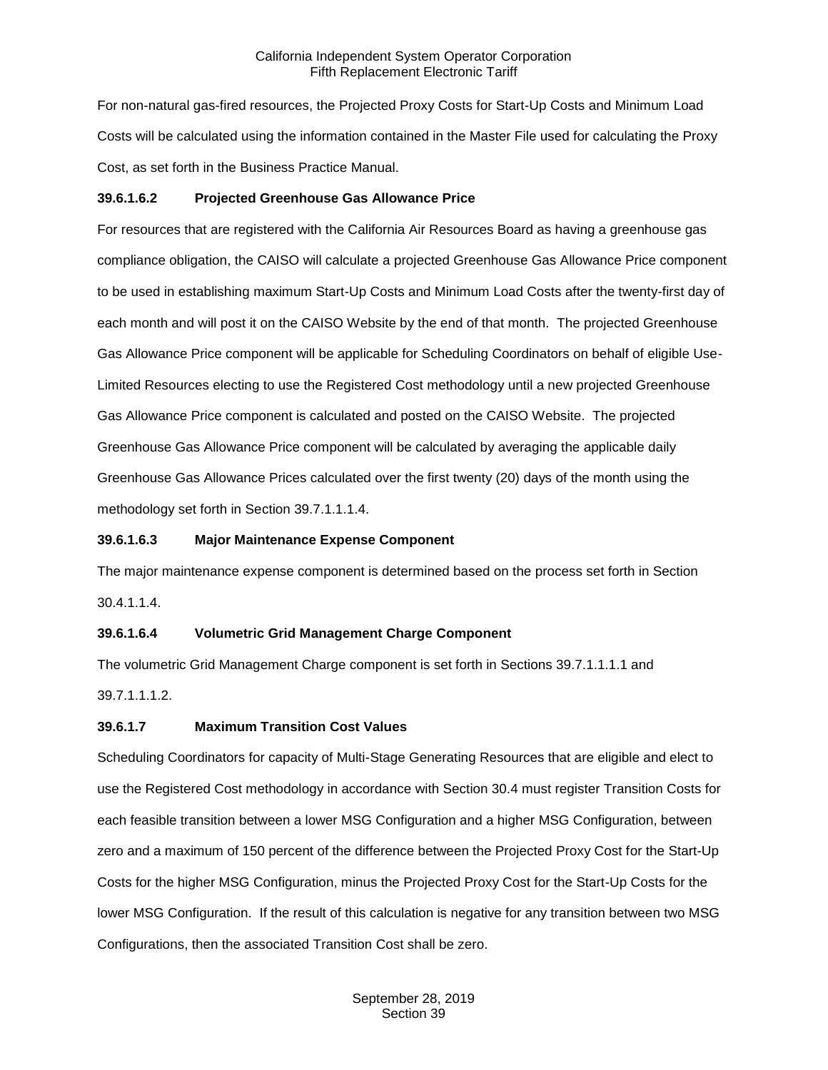For non-natural gas-fired resources, the Projected Proxy Costs for Start-Up Costs and Minimum Load Costs will be calculated using the information contained in the Master File used for calculating the Proxy Cost, as set forth in the Business Practice Manual.

# **39.6.1.6.2 Projected Greenhouse Gas Allowance Price**

For resources that are registered with the California Air Resources Board as having a greenhouse gas compliance obligation, the CAISO will calculate a projected Greenhouse Gas Allowance Price component to be used in establishing maximum Start-Up Costs and Minimum Load Costs after the twenty-first day of each month and will post it on the CAISO Website by the end of that month. The projected Greenhouse Gas Allowance Price component will be applicable for Scheduling Coordinators on behalf of eligible Use-Limited Resources electing to use the Registered Cost methodology until a new projected Greenhouse Gas Allowance Price component is calculated and posted on the CAISO Website. The projected Greenhouse Gas Allowance Price component will be calculated by averaging the applicable daily Greenhouse Gas Allowance Prices calculated over the first twenty (20) days of the month using the methodology set forth in Section 39.7.1.1.1.4.

## **39.6.1.6.3 Major Maintenance Expense Component**

The major maintenance expense component is determined based on the process set forth in Section 30.4.1.1.4.

# **39.6.1.6.4 Volumetric Grid Management Charge Component**

The volumetric Grid Management Charge component is set forth in Sections 39.7.1.1.1.1 and 39.7.1.1.1.2.

# **39.6.1.7 Maximum Transition Cost Values**

Scheduling Coordinators for capacity of Multi-Stage Generating Resources that are eligible and elect to use the Registered Cost methodology in accordance with Section 30.4 must register Transition Costs for each feasible transition between a lower MSG Configuration and a higher MSG Configuration, between zero and a maximum of 150 percent of the difference between the Projected Proxy Cost for the Start-Up Costs for the higher MSG Configuration, minus the Projected Proxy Cost for the Start-Up Costs for the lower MSG Configuration. If the result of this calculation is negative for any transition between two MSG Configurations, then the associated Transition Cost shall be zero.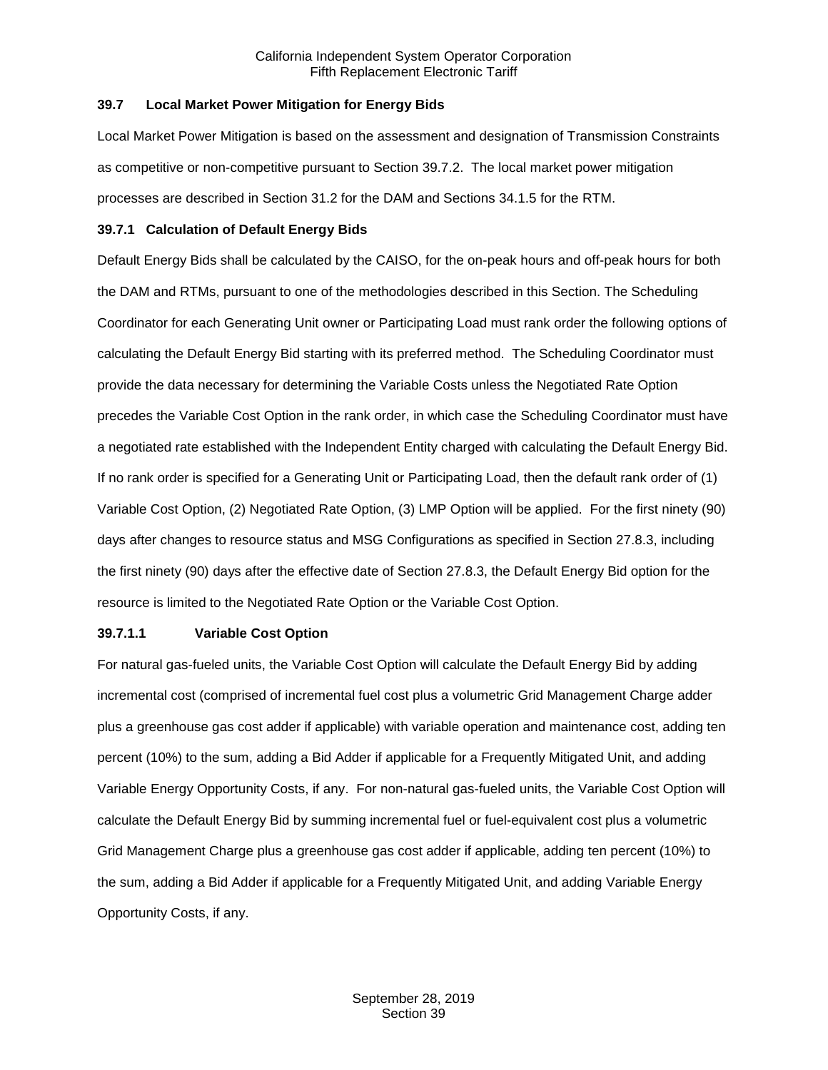#### <span id="page-7-0"></span>**39.7 Local Market Power Mitigation for Energy Bids**

Local Market Power Mitigation is based on the assessment and designation of Transmission Constraints as competitive or non-competitive pursuant to Section 39.7.2. The local market power mitigation processes are described in Section 31.2 for the DAM and Sections 34.1.5 for the RTM.

#### <span id="page-7-1"></span>**39.7.1 Calculation of Default Energy Bids**

Default Energy Bids shall be calculated by the CAISO, for the on-peak hours and off-peak hours for both the DAM and RTMs, pursuant to one of the methodologies described in this Section. The Scheduling Coordinator for each Generating Unit owner or Participating Load must rank order the following options of calculating the Default Energy Bid starting with its preferred method. The Scheduling Coordinator must provide the data necessary for determining the Variable Costs unless the Negotiated Rate Option precedes the Variable Cost Option in the rank order, in which case the Scheduling Coordinator must have a negotiated rate established with the Independent Entity charged with calculating the Default Energy Bid. If no rank order is specified for a Generating Unit or Participating Load, then the default rank order of (1) Variable Cost Option, (2) Negotiated Rate Option, (3) LMP Option will be applied. For the first ninety (90) days after changes to resource status and MSG Configurations as specified in Section 27.8.3, including the first ninety (90) days after the effective date of Section 27.8.3, the Default Energy Bid option for the resource is limited to the Negotiated Rate Option or the Variable Cost Option.

# **39.7.1.1 Variable Cost Option**

For natural gas-fueled units, the Variable Cost Option will calculate the Default Energy Bid by adding incremental cost (comprised of incremental fuel cost plus a volumetric Grid Management Charge adder plus a greenhouse gas cost adder if applicable) with variable operation and maintenance cost, adding ten percent (10%) to the sum, adding a Bid Adder if applicable for a Frequently Mitigated Unit, and adding Variable Energy Opportunity Costs, if any. For non-natural gas-fueled units, the Variable Cost Option will calculate the Default Energy Bid by summing incremental fuel or fuel-equivalent cost plus a volumetric Grid Management Charge plus a greenhouse gas cost adder if applicable, adding ten percent (10%) to the sum, adding a Bid Adder if applicable for a Frequently Mitigated Unit, and adding Variable Energy Opportunity Costs, if any.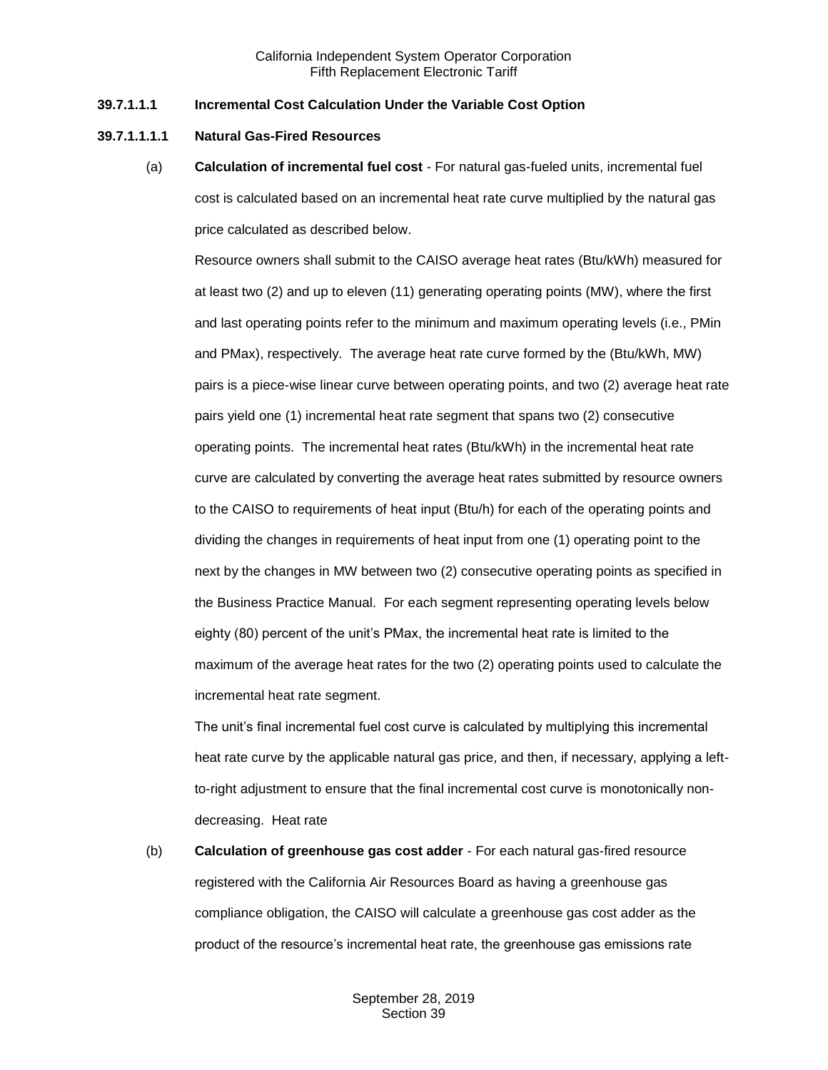#### **39.7.1.1.1 Incremental Cost Calculation Under the Variable Cost Option**

#### **39.7.1.1.1.1 Natural Gas-Fired Resources**

(a) **Calculation of incremental fuel cost** - For natural gas-fueled units, incremental fuel cost is calculated based on an incremental heat rate curve multiplied by the natural gas price calculated as described below.

Resource owners shall submit to the CAISO average heat rates (Btu/kWh) measured for at least two (2) and up to eleven (11) generating operating points (MW), where the first and last operating points refer to the minimum and maximum operating levels (i.e., PMin and PMax), respectively. The average heat rate curve formed by the (Btu/kWh, MW) pairs is a piece-wise linear curve between operating points, and two (2) average heat rate pairs yield one (1) incremental heat rate segment that spans two (2) consecutive operating points. The incremental heat rates (Btu/kWh) in the incremental heat rate curve are calculated by converting the average heat rates submitted by resource owners to the CAISO to requirements of heat input (Btu/h) for each of the operating points and dividing the changes in requirements of heat input from one (1) operating point to the next by the changes in MW between two (2) consecutive operating points as specified in the Business Practice Manual. For each segment representing operating levels below eighty (80) percent of the unit's PMax, the incremental heat rate is limited to the maximum of the average heat rates for the two (2) operating points used to calculate the incremental heat rate segment.

The unit's final incremental fuel cost curve is calculated by multiplying this incremental heat rate curve by the applicable natural gas price, and then, if necessary, applying a leftto-right adjustment to ensure that the final incremental cost curve is monotonically nondecreasing. Heat rate

(b) **Calculation of greenhouse gas cost adder** - For each natural gas-fired resource registered with the California Air Resources Board as having a greenhouse gas compliance obligation, the CAISO will calculate a greenhouse gas cost adder as the product of the resource's incremental heat rate, the greenhouse gas emissions rate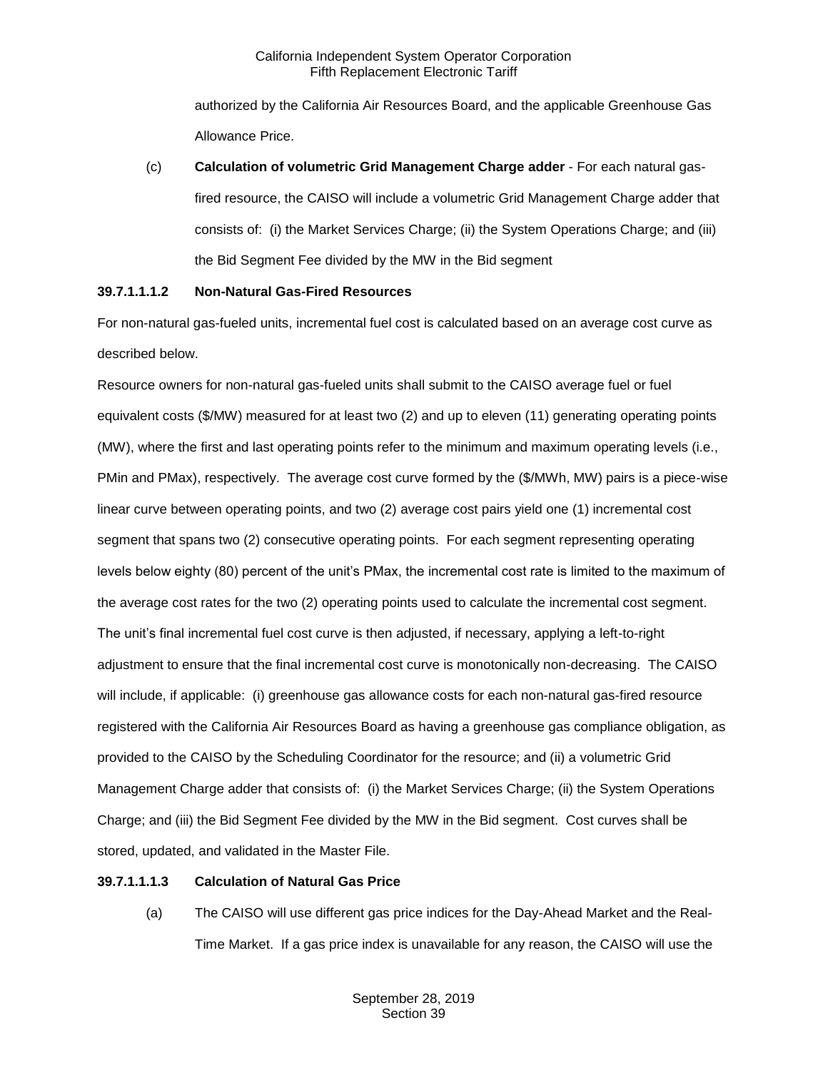authorized by the California Air Resources Board, and the applicable Greenhouse Gas Allowance Price.

(c) **Calculation of volumetric Grid Management Charge adder** - For each natural gasfired resource, the CAISO will include a volumetric Grid Management Charge adder that consists of: (i) the Market Services Charge; (ii) the System Operations Charge; and (iii) the Bid Segment Fee divided by the MW in the Bid segment

# **39.7.1.1.1.2 Non-Natural Gas-Fired Resources**

For non-natural gas-fueled units, incremental fuel cost is calculated based on an average cost curve as described below.

Resource owners for non-natural gas-fueled units shall submit to the CAISO average fuel or fuel equivalent costs (\$/MW) measured for at least two (2) and up to eleven (11) generating operating points (MW), where the first and last operating points refer to the minimum and maximum operating levels (i.e., PMin and PMax), respectively. The average cost curve formed by the (\$/MWh, MW) pairs is a piece-wise linear curve between operating points, and two (2) average cost pairs yield one (1) incremental cost segment that spans two (2) consecutive operating points. For each segment representing operating levels below eighty (80) percent of the unit's PMax, the incremental cost rate is limited to the maximum of the average cost rates for the two (2) operating points used to calculate the incremental cost segment. The unit's final incremental fuel cost curve is then adjusted, if necessary, applying a left-to-right adjustment to ensure that the final incremental cost curve is monotonically non-decreasing. The CAISO will include, if applicable: (i) greenhouse gas allowance costs for each non-natural gas-fired resource registered with the California Air Resources Board as having a greenhouse gas compliance obligation, as provided to the CAISO by the Scheduling Coordinator for the resource; and (ii) a volumetric Grid Management Charge adder that consists of: (i) the Market Services Charge; (ii) the System Operations Charge; and (iii) the Bid Segment Fee divided by the MW in the Bid segment. Cost curves shall be stored, updated, and validated in the Master File.

# **39.7.1.1.1.3 Calculation of Natural Gas Price**

(a) The CAISO will use different gas price indices for the Day-Ahead Market and the Real-Time Market. If a gas price index is unavailable for any reason, the CAISO will use the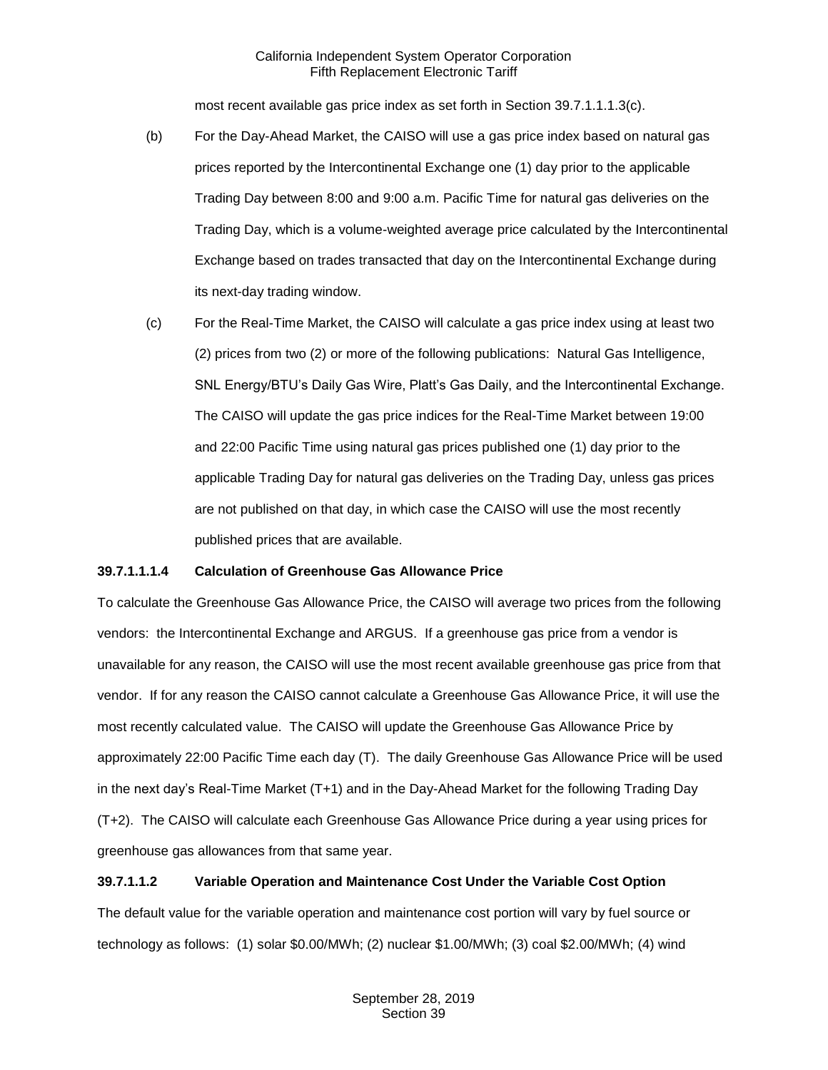most recent available gas price index as set forth in Section 39.7.1.1.1.3(c).

- (b) For the Day-Ahead Market, the CAISO will use a gas price index based on natural gas prices reported by the Intercontinental Exchange one (1) day prior to the applicable Trading Day between 8:00 and 9:00 a.m. Pacific Time for natural gas deliveries on the Trading Day, which is a volume-weighted average price calculated by the Intercontinental Exchange based on trades transacted that day on the Intercontinental Exchange during its next-day trading window.
- (c) For the Real-Time Market, the CAISO will calculate a gas price index using at least two (2) prices from two (2) or more of the following publications: Natural Gas Intelligence, SNL Energy/BTU's Daily Gas Wire, Platt's Gas Daily, and the Intercontinental Exchange. The CAISO will update the gas price indices for the Real-Time Market between 19:00 and 22:00 Pacific Time using natural gas prices published one (1) day prior to the applicable Trading Day for natural gas deliveries on the Trading Day, unless gas prices are not published on that day, in which case the CAISO will use the most recently published prices that are available.

# **39.7.1.1.1.4 Calculation of Greenhouse Gas Allowance Price**

To calculate the Greenhouse Gas Allowance Price, the CAISO will average two prices from the following vendors: the Intercontinental Exchange and ARGUS. If a greenhouse gas price from a vendor is unavailable for any reason, the CAISO will use the most recent available greenhouse gas price from that vendor. If for any reason the CAISO cannot calculate a Greenhouse Gas Allowance Price, it will use the most recently calculated value. The CAISO will update the Greenhouse Gas Allowance Price by approximately 22:00 Pacific Time each day (T). The daily Greenhouse Gas Allowance Price will be used in the next day's Real-Time Market (T+1) and in the Day-Ahead Market for the following Trading Day (T+2). The CAISO will calculate each Greenhouse Gas Allowance Price during a year using prices for greenhouse gas allowances from that same year.

## **39.7.1.1.2 Variable Operation and Maintenance Cost Under the Variable Cost Option**

The default value for the variable operation and maintenance cost portion will vary by fuel source or technology as follows: (1) solar \$0.00/MWh; (2) nuclear \$1.00/MWh; (3) coal \$2.00/MWh; (4) wind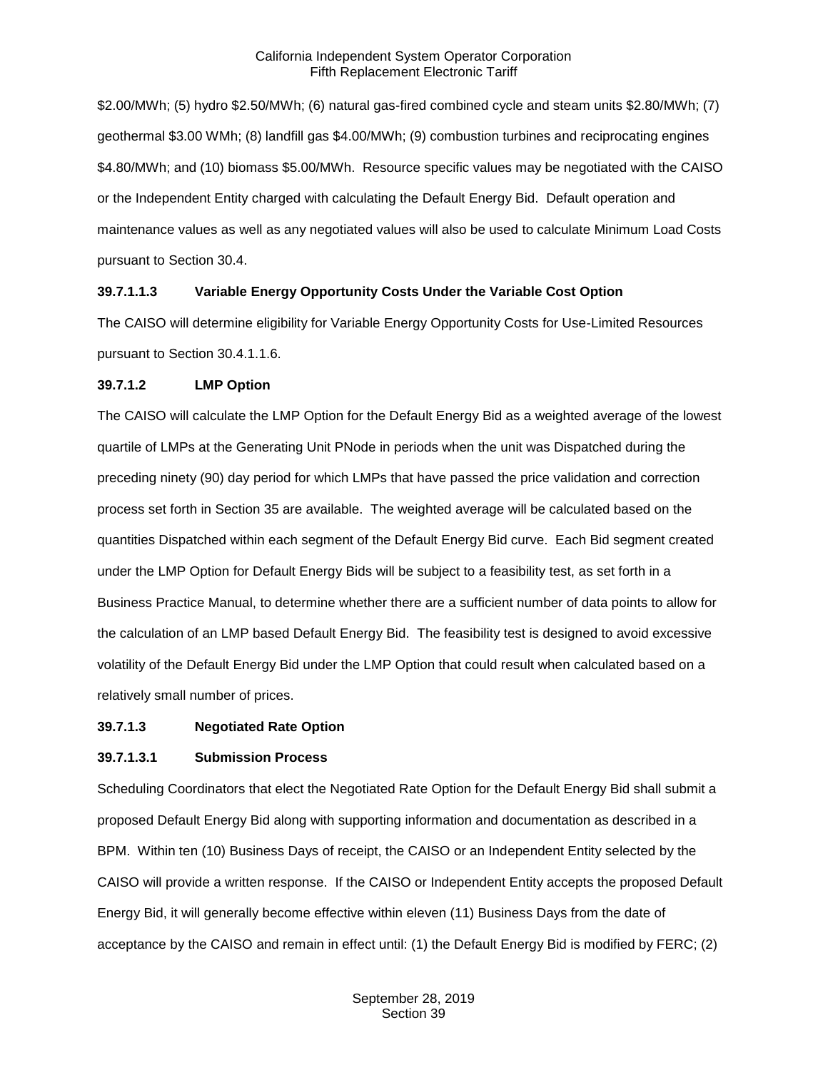\$2.00/MWh; (5) hydro \$2.50/MWh; (6) natural gas-fired combined cycle and steam units \$2.80/MWh; (7) geothermal \$3.00 WMh; (8) landfill gas \$4.00/MWh; (9) combustion turbines and reciprocating engines \$4.80/MWh; and (10) biomass \$5.00/MWh. Resource specific values may be negotiated with the CAISO or the Independent Entity charged with calculating the Default Energy Bid. Default operation and maintenance values as well as any negotiated values will also be used to calculate Minimum Load Costs pursuant to Section 30.4.

#### **39.7.1.1.3 Variable Energy Opportunity Costs Under the Variable Cost Option**

The CAISO will determine eligibility for Variable Energy Opportunity Costs for Use-Limited Resources pursuant to Section 30.4.1.1.6.

#### **39.7.1.2 LMP Option**

The CAISO will calculate the LMP Option for the Default Energy Bid as a weighted average of the lowest quartile of LMPs at the Generating Unit PNode in periods when the unit was Dispatched during the preceding ninety (90) day period for which LMPs that have passed the price validation and correction process set forth in Section 35 are available. The weighted average will be calculated based on the quantities Dispatched within each segment of the Default Energy Bid curve. Each Bid segment created under the LMP Option for Default Energy Bids will be subject to a feasibility test, as set forth in a Business Practice Manual, to determine whether there are a sufficient number of data points to allow for the calculation of an LMP based Default Energy Bid. The feasibility test is designed to avoid excessive volatility of the Default Energy Bid under the LMP Option that could result when calculated based on a relatively small number of prices.

#### **39.7.1.3 Negotiated Rate Option**

#### **39.7.1.3.1 Submission Process**

Scheduling Coordinators that elect the Negotiated Rate Option for the Default Energy Bid shall submit a proposed Default Energy Bid along with supporting information and documentation as described in a BPM. Within ten (10) Business Days of receipt, the CAISO or an Independent Entity selected by the CAISO will provide a written response. If the CAISO or Independent Entity accepts the proposed Default Energy Bid, it will generally become effective within eleven (11) Business Days from the date of acceptance by the CAISO and remain in effect until: (1) the Default Energy Bid is modified by FERC; (2)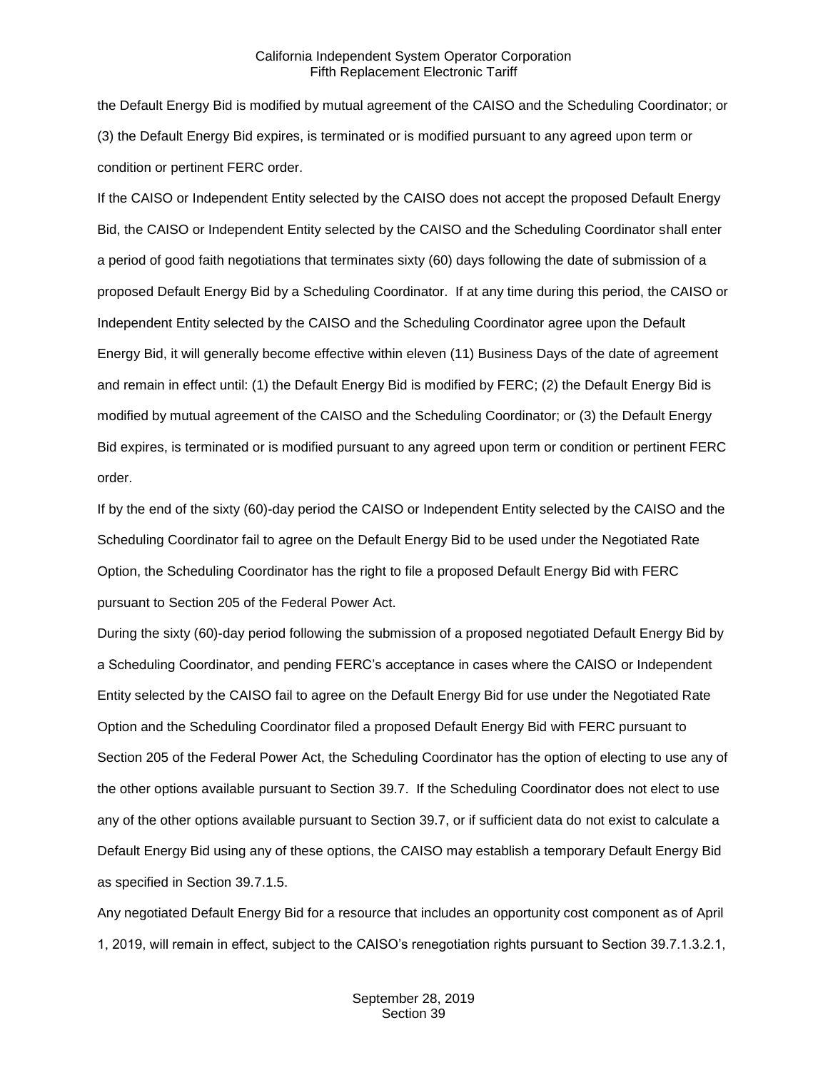the Default Energy Bid is modified by mutual agreement of the CAISO and the Scheduling Coordinator; or (3) the Default Energy Bid expires, is terminated or is modified pursuant to any agreed upon term or condition or pertinent FERC order.

If the CAISO or Independent Entity selected by the CAISO does not accept the proposed Default Energy Bid, the CAISO or Independent Entity selected by the CAISO and the Scheduling Coordinator shall enter a period of good faith negotiations that terminates sixty (60) days following the date of submission of a proposed Default Energy Bid by a Scheduling Coordinator. If at any time during this period, the CAISO or Independent Entity selected by the CAISO and the Scheduling Coordinator agree upon the Default Energy Bid, it will generally become effective within eleven (11) Business Days of the date of agreement and remain in effect until: (1) the Default Energy Bid is modified by FERC; (2) the Default Energy Bid is modified by mutual agreement of the CAISO and the Scheduling Coordinator; or (3) the Default Energy Bid expires, is terminated or is modified pursuant to any agreed upon term or condition or pertinent FERC order.

If by the end of the sixty (60)-day period the CAISO or Independent Entity selected by the CAISO and the Scheduling Coordinator fail to agree on the Default Energy Bid to be used under the Negotiated Rate Option, the Scheduling Coordinator has the right to file a proposed Default Energy Bid with FERC pursuant to Section 205 of the Federal Power Act.

During the sixty (60)-day period following the submission of a proposed negotiated Default Energy Bid by a Scheduling Coordinator, and pending FERC's acceptance in cases where the CAISO or Independent Entity selected by the CAISO fail to agree on the Default Energy Bid for use under the Negotiated Rate Option and the Scheduling Coordinator filed a proposed Default Energy Bid with FERC pursuant to Section 205 of the Federal Power Act, the Scheduling Coordinator has the option of electing to use any of the other options available pursuant to Section 39.7. If the Scheduling Coordinator does not elect to use any of the other options available pursuant to Section 39.7, or if sufficient data do not exist to calculate a Default Energy Bid using any of these options, the CAISO may establish a temporary Default Energy Bid as specified in Section 39.7.1.5.

Any negotiated Default Energy Bid for a resource that includes an opportunity cost component as of April 1, 2019, will remain in effect, subject to the CAISO's renegotiation rights pursuant to Section 39.7.1.3.2.1,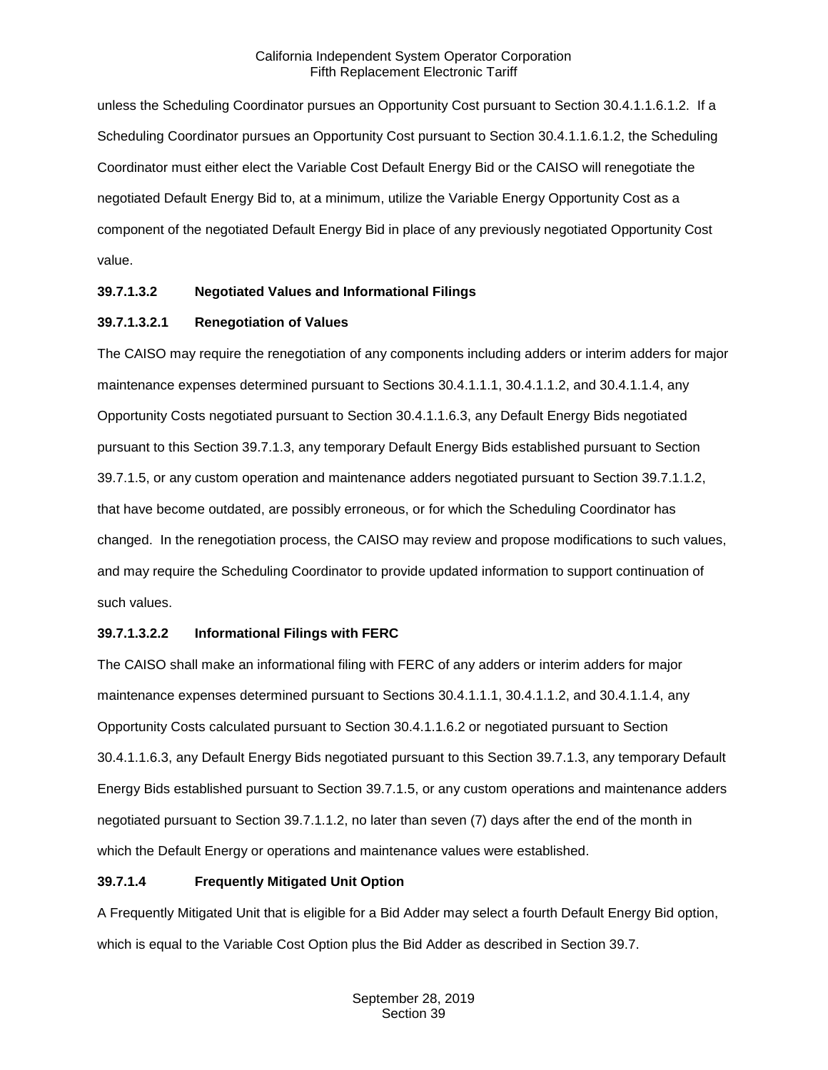unless the Scheduling Coordinator pursues an Opportunity Cost pursuant to Section 30.4.1.1.6.1.2. If a Scheduling Coordinator pursues an Opportunity Cost pursuant to Section 30.4.1.1.6.1.2, the Scheduling Coordinator must either elect the Variable Cost Default Energy Bid or the CAISO will renegotiate the negotiated Default Energy Bid to, at a minimum, utilize the Variable Energy Opportunity Cost as a component of the negotiated Default Energy Bid in place of any previously negotiated Opportunity Cost value.

# **39.7.1.3.2 Negotiated Values and Informational Filings**

# **39.7.1.3.2.1 Renegotiation of Values**

The CAISO may require the renegotiation of any components including adders or interim adders for major maintenance expenses determined pursuant to Sections 30.4.1.1.1, 30.4.1.1.2, and 30.4.1.1.4, any Opportunity Costs negotiated pursuant to Section 30.4.1.1.6.3, any Default Energy Bids negotiated pursuant to this Section 39.7.1.3, any temporary Default Energy Bids established pursuant to Section 39.7.1.5, or any custom operation and maintenance adders negotiated pursuant to Section 39.7.1.1.2, that have become outdated, are possibly erroneous, or for which the Scheduling Coordinator has changed. In the renegotiation process, the CAISO may review and propose modifications to such values, and may require the Scheduling Coordinator to provide updated information to support continuation of such values.

# **39.7.1.3.2.2 Informational Filings with FERC**

The CAISO shall make an informational filing with FERC of any adders or interim adders for major maintenance expenses determined pursuant to Sections 30.4.1.1.1, 30.4.1.1.2, and 30.4.1.1.4, any Opportunity Costs calculated pursuant to Section 30.4.1.1.6.2 or negotiated pursuant to Section 30.4.1.1.6.3, any Default Energy Bids negotiated pursuant to this Section 39.7.1.3, any temporary Default Energy Bids established pursuant to Section 39.7.1.5, or any custom operations and maintenance adders negotiated pursuant to Section 39.7.1.1.2, no later than seven (7) days after the end of the month in which the Default Energy or operations and maintenance values were established.

# **39.7.1.4 Frequently Mitigated Unit Option**

A Frequently Mitigated Unit that is eligible for a Bid Adder may select a fourth Default Energy Bid option, which is equal to the Variable Cost Option plus the Bid Adder as described in Section 39.7.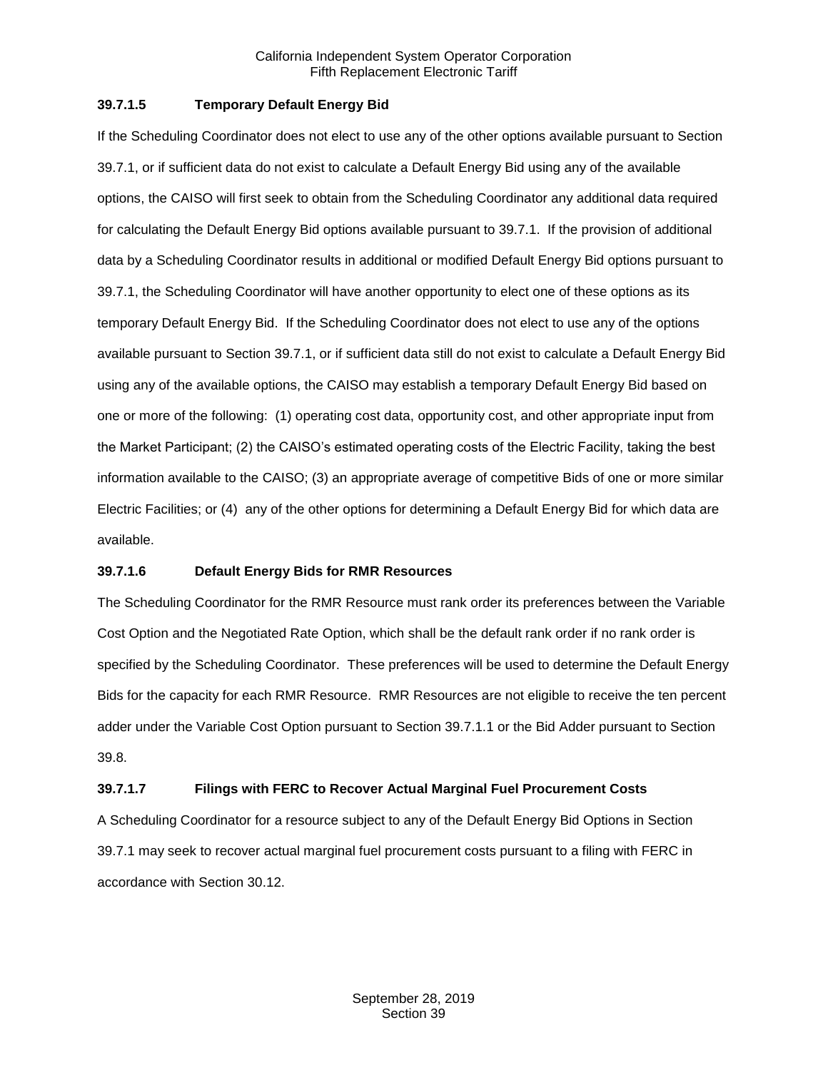## **39.7.1.5 Temporary Default Energy Bid**

If the Scheduling Coordinator does not elect to use any of the other options available pursuant to Section 39.7.1, or if sufficient data do not exist to calculate a Default Energy Bid using any of the available options, the CAISO will first seek to obtain from the Scheduling Coordinator any additional data required for calculating the Default Energy Bid options available pursuant to 39.7.1. If the provision of additional data by a Scheduling Coordinator results in additional or modified Default Energy Bid options pursuant to 39.7.1, the Scheduling Coordinator will have another opportunity to elect one of these options as its temporary Default Energy Bid. If the Scheduling Coordinator does not elect to use any of the options available pursuant to Section 39.7.1, or if sufficient data still do not exist to calculate a Default Energy Bid using any of the available options, the CAISO may establish a temporary Default Energy Bid based on one or more of the following: (1) operating cost data, opportunity cost, and other appropriate input from the Market Participant; (2) the CAISO's estimated operating costs of the Electric Facility, taking the best information available to the CAISO; (3) an appropriate average of competitive Bids of one or more similar Electric Facilities; or (4) any of the other options for determining a Default Energy Bid for which data are available.

#### **39.7.1.6 Default Energy Bids for RMR Resources**

The Scheduling Coordinator for the RMR Resource must rank order its preferences between the Variable Cost Option and the Negotiated Rate Option, which shall be the default rank order if no rank order is specified by the Scheduling Coordinator. These preferences will be used to determine the Default Energy Bids for the capacity for each RMR Resource. RMR Resources are not eligible to receive the ten percent adder under the Variable Cost Option pursuant to Section 39.7.1.1 or the Bid Adder pursuant to Section 39.8.

#### **39.7.1.7 Filings with FERC to Recover Actual Marginal Fuel Procurement Costs**

A Scheduling Coordinator for a resource subject to any of the Default Energy Bid Options in Section 39.7.1 may seek to recover actual marginal fuel procurement costs pursuant to a filing with FERC in accordance with Section 30.12.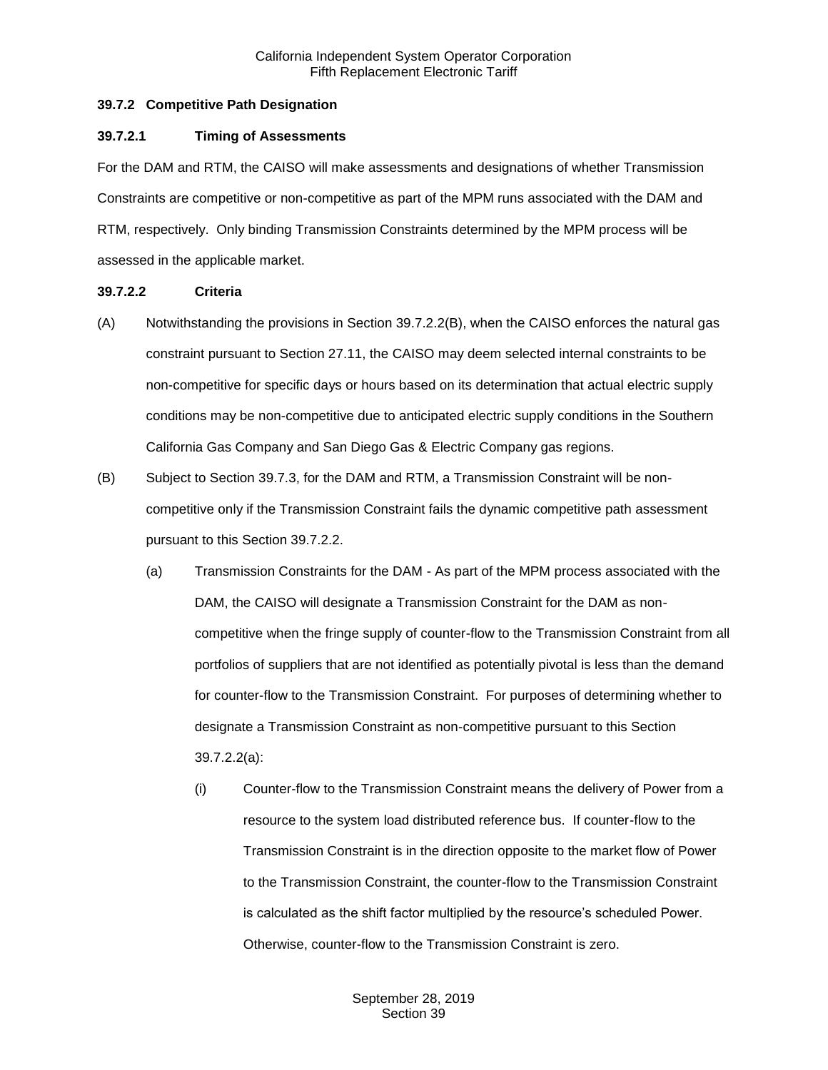## <span id="page-15-0"></span>**39.7.2 Competitive Path Designation**

#### **39.7.2.1 Timing of Assessments**

For the DAM and RTM, the CAISO will make assessments and designations of whether Transmission Constraints are competitive or non-competitive as part of the MPM runs associated with the DAM and RTM, respectively. Only binding Transmission Constraints determined by the MPM process will be assessed in the applicable market.

#### **39.7.2.2 Criteria**

- (A) Notwithstanding the provisions in Section 39.7.2.2(B), when the CAISO enforces the natural gas constraint pursuant to Section 27.11, the CAISO may deem selected internal constraints to be non-competitive for specific days or hours based on its determination that actual electric supply conditions may be non-competitive due to anticipated electric supply conditions in the Southern California Gas Company and San Diego Gas & Electric Company gas regions.
- (B) Subject to Section 39.7.3, for the DAM and RTM, a Transmission Constraint will be noncompetitive only if the Transmission Constraint fails the dynamic competitive path assessment pursuant to this Section 39.7.2.2.
	- (a) Transmission Constraints for the DAM As part of the MPM process associated with the DAM, the CAISO will designate a Transmission Constraint for the DAM as noncompetitive when the fringe supply of counter-flow to the Transmission Constraint from all portfolios of suppliers that are not identified as potentially pivotal is less than the demand for counter-flow to the Transmission Constraint. For purposes of determining whether to designate a Transmission Constraint as non-competitive pursuant to this Section 39.7.2.2(a):
		- (i) Counter-flow to the Transmission Constraint means the delivery of Power from a resource to the system load distributed reference bus. If counter-flow to the Transmission Constraint is in the direction opposite to the market flow of Power to the Transmission Constraint, the counter-flow to the Transmission Constraint is calculated as the shift factor multiplied by the resource's scheduled Power. Otherwise, counter-flow to the Transmission Constraint is zero.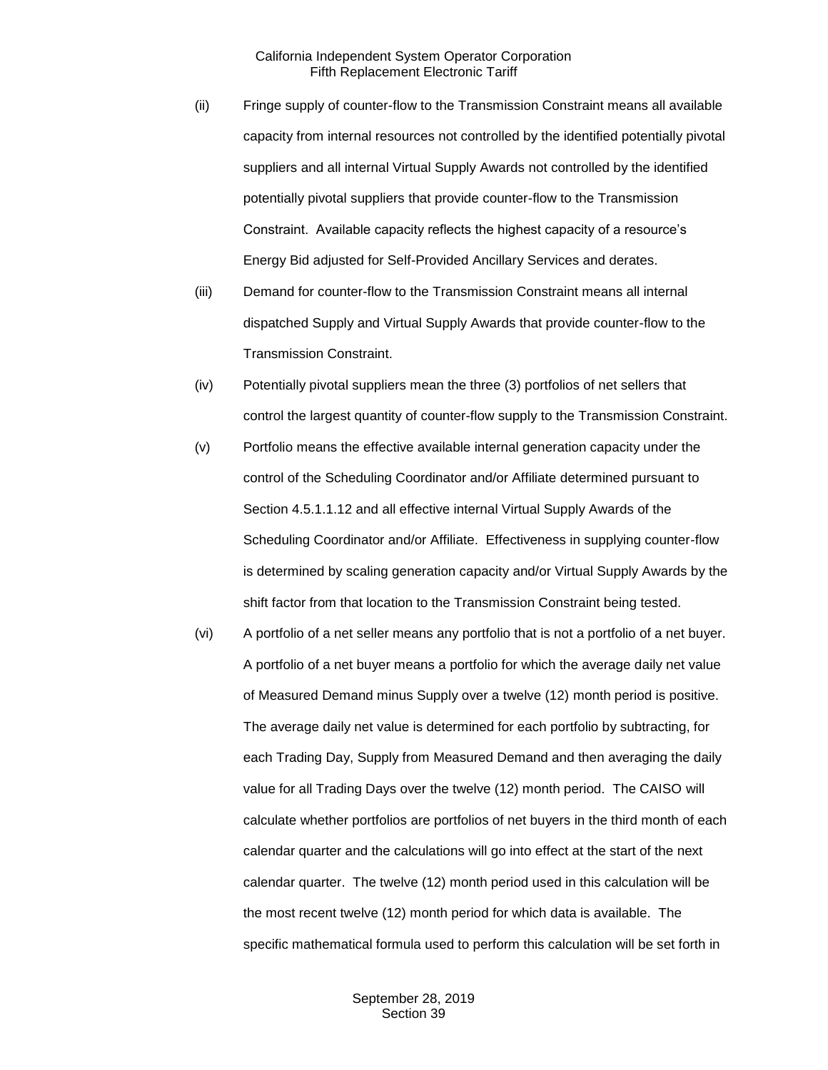- (ii) Fringe supply of counter-flow to the Transmission Constraint means all available capacity from internal resources not controlled by the identified potentially pivotal suppliers and all internal Virtual Supply Awards not controlled by the identified potentially pivotal suppliers that provide counter-flow to the Transmission Constraint. Available capacity reflects the highest capacity of a resource's Energy Bid adjusted for Self-Provided Ancillary Services and derates.
- (iii) Demand for counter-flow to the Transmission Constraint means all internal dispatched Supply and Virtual Supply Awards that provide counter-flow to the Transmission Constraint.
- (iv) Potentially pivotal suppliers mean the three (3) portfolios of net sellers that control the largest quantity of counter-flow supply to the Transmission Constraint.
- (v) Portfolio means the effective available internal generation capacity under the control of the Scheduling Coordinator and/or Affiliate determined pursuant to Section 4.5.1.1.12 and all effective internal Virtual Supply Awards of the Scheduling Coordinator and/or Affiliate. Effectiveness in supplying counter-flow is determined by scaling generation capacity and/or Virtual Supply Awards by the shift factor from that location to the Transmission Constraint being tested.
- (vi) A portfolio of a net seller means any portfolio that is not a portfolio of a net buyer. A portfolio of a net buyer means a portfolio for which the average daily net value of Measured Demand minus Supply over a twelve (12) month period is positive. The average daily net value is determined for each portfolio by subtracting, for each Trading Day, Supply from Measured Demand and then averaging the daily value for all Trading Days over the twelve (12) month period. The CAISO will calculate whether portfolios are portfolios of net buyers in the third month of each calendar quarter and the calculations will go into effect at the start of the next calendar quarter. The twelve (12) month period used in this calculation will be the most recent twelve (12) month period for which data is available. The specific mathematical formula used to perform this calculation will be set forth in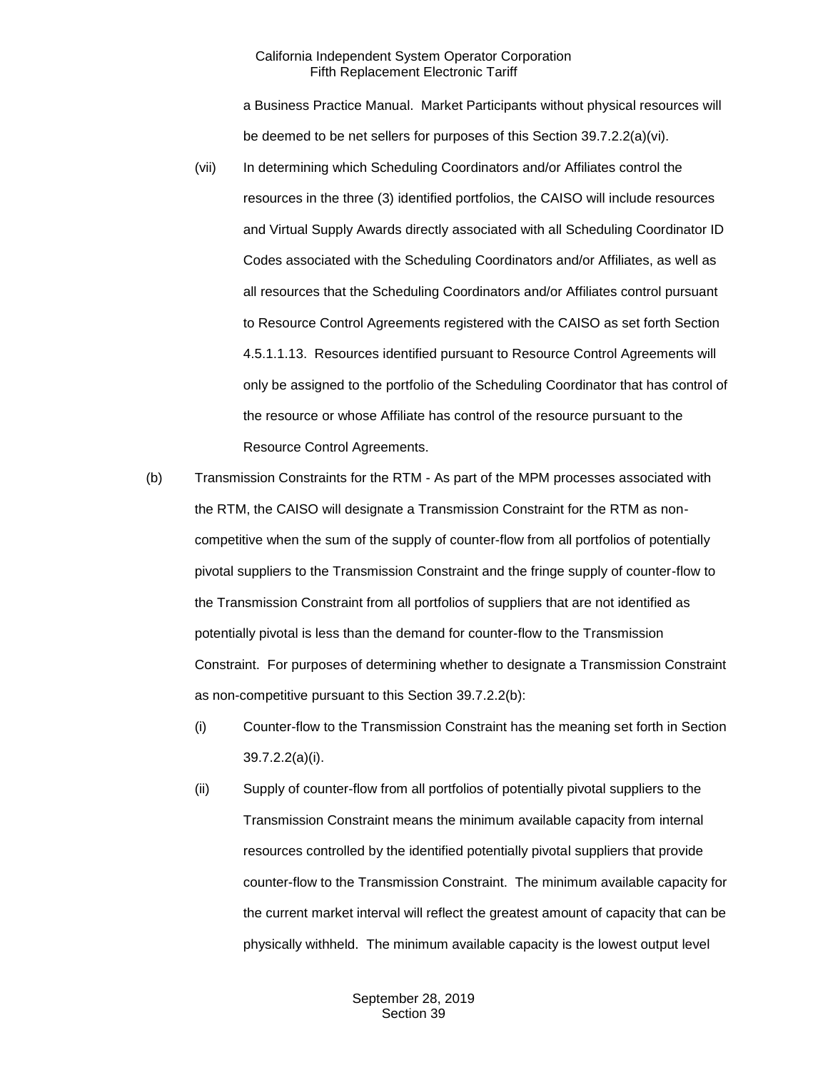a Business Practice Manual. Market Participants without physical resources will be deemed to be net sellers for purposes of this Section 39.7.2.2(a)(vi).

- (vii) In determining which Scheduling Coordinators and/or Affiliates control the resources in the three (3) identified portfolios, the CAISO will include resources and Virtual Supply Awards directly associated with all Scheduling Coordinator ID Codes associated with the Scheduling Coordinators and/or Affiliates, as well as all resources that the Scheduling Coordinators and/or Affiliates control pursuant to Resource Control Agreements registered with the CAISO as set forth Section 4.5.1.1.13. Resources identified pursuant to Resource Control Agreements will only be assigned to the portfolio of the Scheduling Coordinator that has control of the resource or whose Affiliate has control of the resource pursuant to the Resource Control Agreements.
- (b) Transmission Constraints for the RTM As part of the MPM processes associated with the RTM, the CAISO will designate a Transmission Constraint for the RTM as noncompetitive when the sum of the supply of counter-flow from all portfolios of potentially pivotal suppliers to the Transmission Constraint and the fringe supply of counter-flow to the Transmission Constraint from all portfolios of suppliers that are not identified as potentially pivotal is less than the demand for counter-flow to the Transmission Constraint. For purposes of determining whether to designate a Transmission Constraint as non-competitive pursuant to this Section 39.7.2.2(b):
	- (i) Counter-flow to the Transmission Constraint has the meaning set forth in Section 39.7.2.2(a)(i).
	- (ii) Supply of counter-flow from all portfolios of potentially pivotal suppliers to the Transmission Constraint means the minimum available capacity from internal resources controlled by the identified potentially pivotal suppliers that provide counter-flow to the Transmission Constraint. The minimum available capacity for the current market interval will reflect the greatest amount of capacity that can be physically withheld. The minimum available capacity is the lowest output level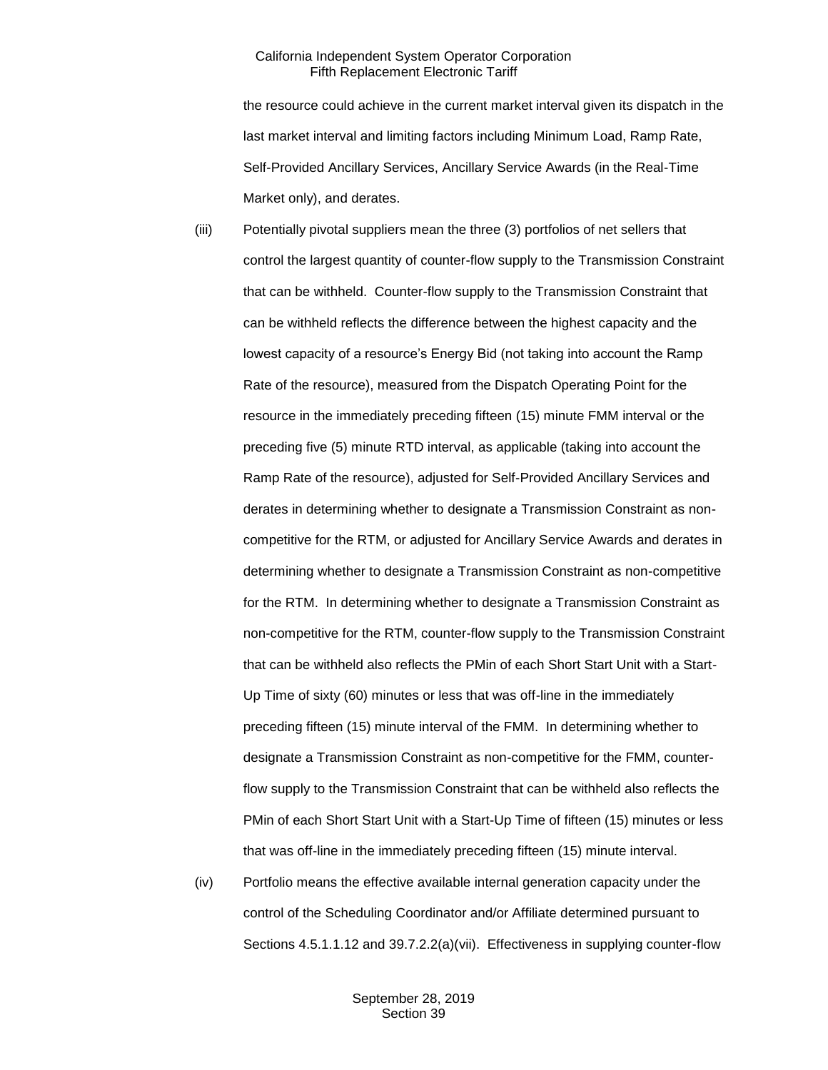the resource could achieve in the current market interval given its dispatch in the last market interval and limiting factors including Minimum Load, Ramp Rate, Self-Provided Ancillary Services, Ancillary Service Awards (in the Real-Time Market only), and derates.

- (iii) Potentially pivotal suppliers mean the three (3) portfolios of net sellers that control the largest quantity of counter-flow supply to the Transmission Constraint that can be withheld. Counter-flow supply to the Transmission Constraint that can be withheld reflects the difference between the highest capacity and the lowest capacity of a resource's Energy Bid (not taking into account the Ramp Rate of the resource), measured from the Dispatch Operating Point for the resource in the immediately preceding fifteen (15) minute FMM interval or the preceding five (5) minute RTD interval, as applicable (taking into account the Ramp Rate of the resource), adjusted for Self-Provided Ancillary Services and derates in determining whether to designate a Transmission Constraint as noncompetitive for the RTM, or adjusted for Ancillary Service Awards and derates in determining whether to designate a Transmission Constraint as non-competitive for the RTM. In determining whether to designate a Transmission Constraint as non-competitive for the RTM, counter-flow supply to the Transmission Constraint that can be withheld also reflects the PMin of each Short Start Unit with a Start-Up Time of sixty (60) minutes or less that was off-line in the immediately preceding fifteen (15) minute interval of the FMM. In determining whether to designate a Transmission Constraint as non-competitive for the FMM, counterflow supply to the Transmission Constraint that can be withheld also reflects the PMin of each Short Start Unit with a Start-Up Time of fifteen (15) minutes or less that was off-line in the immediately preceding fifteen (15) minute interval.
- (iv) Portfolio means the effective available internal generation capacity under the control of the Scheduling Coordinator and/or Affiliate determined pursuant to Sections 4.5.1.1.12 and 39.7.2.2(a)(vii). Effectiveness in supplying counter-flow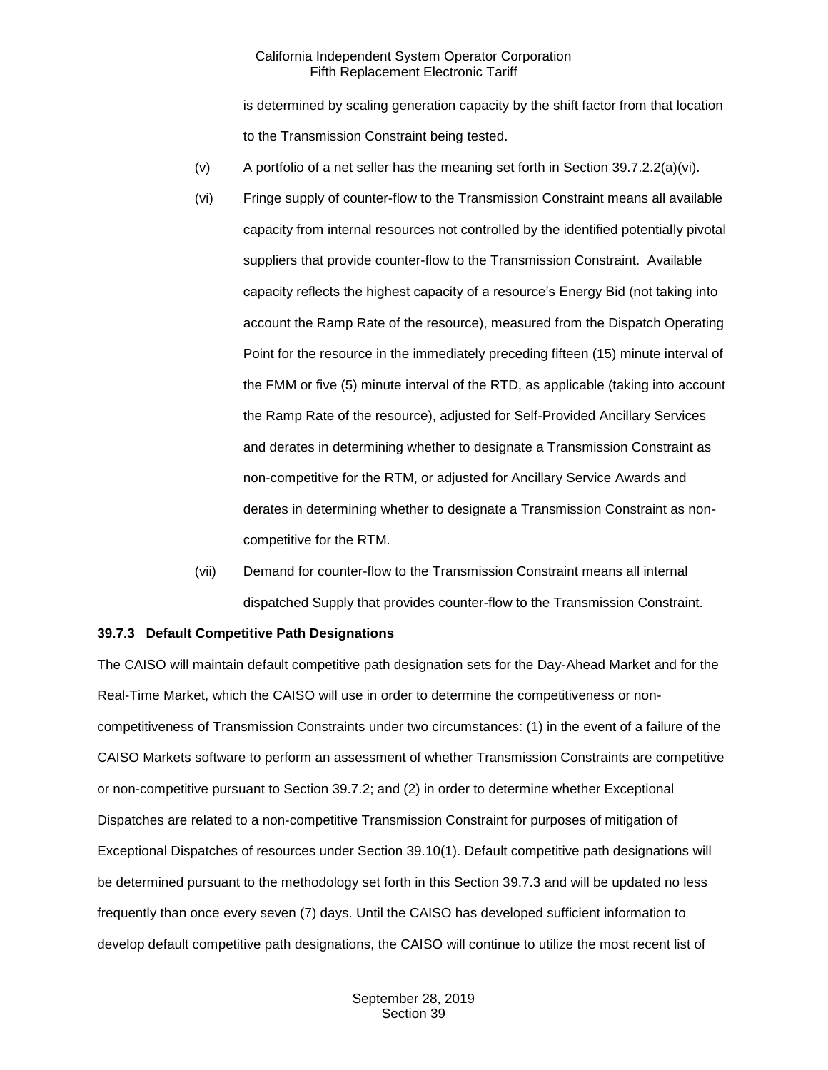is determined by scaling generation capacity by the shift factor from that location to the Transmission Constraint being tested.

- (v) A portfolio of a net seller has the meaning set forth in Section 39.7.2.2(a)(vi).
- (vi) Fringe supply of counter-flow to the Transmission Constraint means all available capacity from internal resources not controlled by the identified potentially pivotal suppliers that provide counter-flow to the Transmission Constraint. Available capacity reflects the highest capacity of a resource's Energy Bid (not taking into account the Ramp Rate of the resource), measured from the Dispatch Operating Point for the resource in the immediately preceding fifteen (15) minute interval of the FMM or five (5) minute interval of the RTD, as applicable (taking into account the Ramp Rate of the resource), adjusted for Self-Provided Ancillary Services and derates in determining whether to designate a Transmission Constraint as non-competitive for the RTM, or adjusted for Ancillary Service Awards and derates in determining whether to designate a Transmission Constraint as noncompetitive for the RTM.
- (vii) Demand for counter-flow to the Transmission Constraint means all internal dispatched Supply that provides counter-flow to the Transmission Constraint.

#### <span id="page-19-0"></span>**39.7.3 Default Competitive Path Designations**

The CAISO will maintain default competitive path designation sets for the Day-Ahead Market and for the Real-Time Market, which the CAISO will use in order to determine the competitiveness or noncompetitiveness of Transmission Constraints under two circumstances: (1) in the event of a failure of the CAISO Markets software to perform an assessment of whether Transmission Constraints are competitive or non-competitive pursuant to Section 39.7.2; and (2) in order to determine whether Exceptional Dispatches are related to a non-competitive Transmission Constraint for purposes of mitigation of Exceptional Dispatches of resources under Section 39.10(1). Default competitive path designations will be determined pursuant to the methodology set forth in this Section 39.7.3 and will be updated no less frequently than once every seven (7) days. Until the CAISO has developed sufficient information to develop default competitive path designations, the CAISO will continue to utilize the most recent list of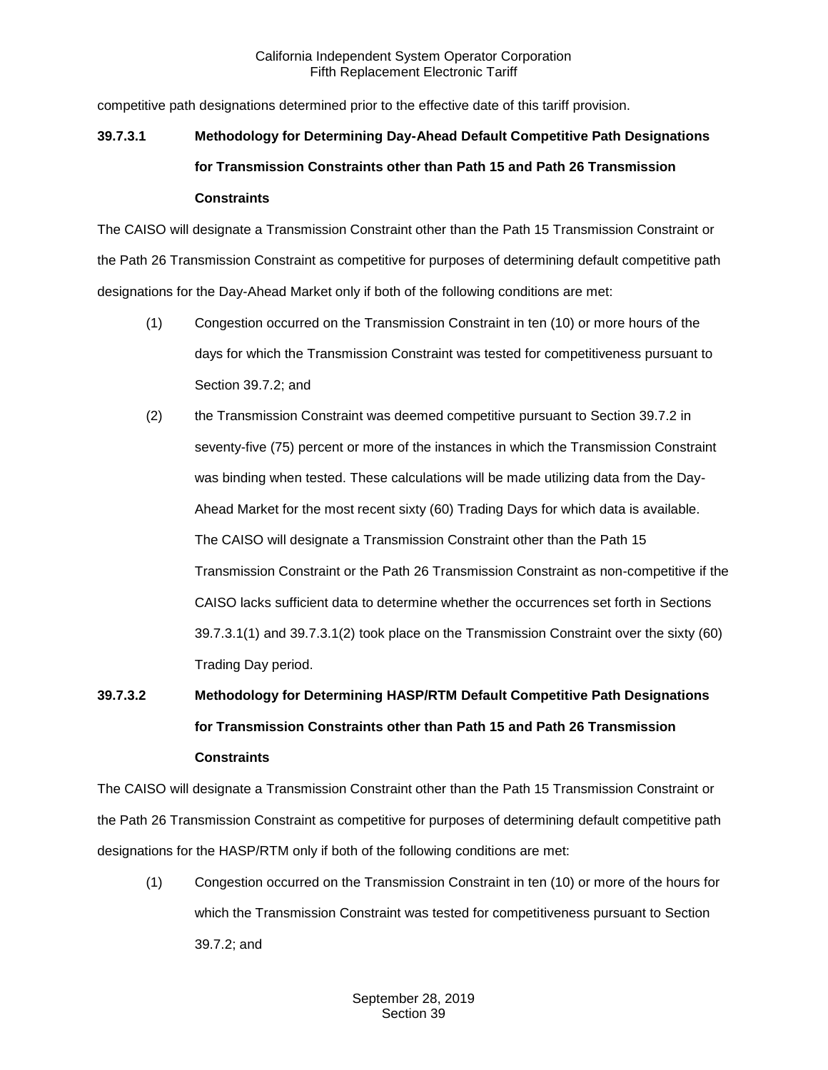competitive path designations determined prior to the effective date of this tariff provision.

# **39.7.3.1 Methodology for Determining Day-Ahead Default Competitive Path Designations for Transmission Constraints other than Path 15 and Path 26 Transmission Constraints**

The CAISO will designate a Transmission Constraint other than the Path 15 Transmission Constraint or the Path 26 Transmission Constraint as competitive for purposes of determining default competitive path designations for the Day-Ahead Market only if both of the following conditions are met:

- (1) Congestion occurred on the Transmission Constraint in ten (10) or more hours of the days for which the Transmission Constraint was tested for competitiveness pursuant to Section 39.7.2; and
- (2) the Transmission Constraint was deemed competitive pursuant to Section 39.7.2 in seventy-five (75) percent or more of the instances in which the Transmission Constraint was binding when tested. These calculations will be made utilizing data from the Day-Ahead Market for the most recent sixty (60) Trading Days for which data is available. The CAISO will designate a Transmission Constraint other than the Path 15 Transmission Constraint or the Path 26 Transmission Constraint as non-competitive if the CAISO lacks sufficient data to determine whether the occurrences set forth in Sections 39.7.3.1(1) and 39.7.3.1(2) took place on the Transmission Constraint over the sixty (60) Trading Day period.

# **39.7.3.2 Methodology for Determining HASP/RTM Default Competitive Path Designations for Transmission Constraints other than Path 15 and Path 26 Transmission Constraints**

The CAISO will designate a Transmission Constraint other than the Path 15 Transmission Constraint or the Path 26 Transmission Constraint as competitive for purposes of determining default competitive path designations for the HASP/RTM only if both of the following conditions are met:

(1) Congestion occurred on the Transmission Constraint in ten (10) or more of the hours for which the Transmission Constraint was tested for competitiveness pursuant to Section 39.7.2; and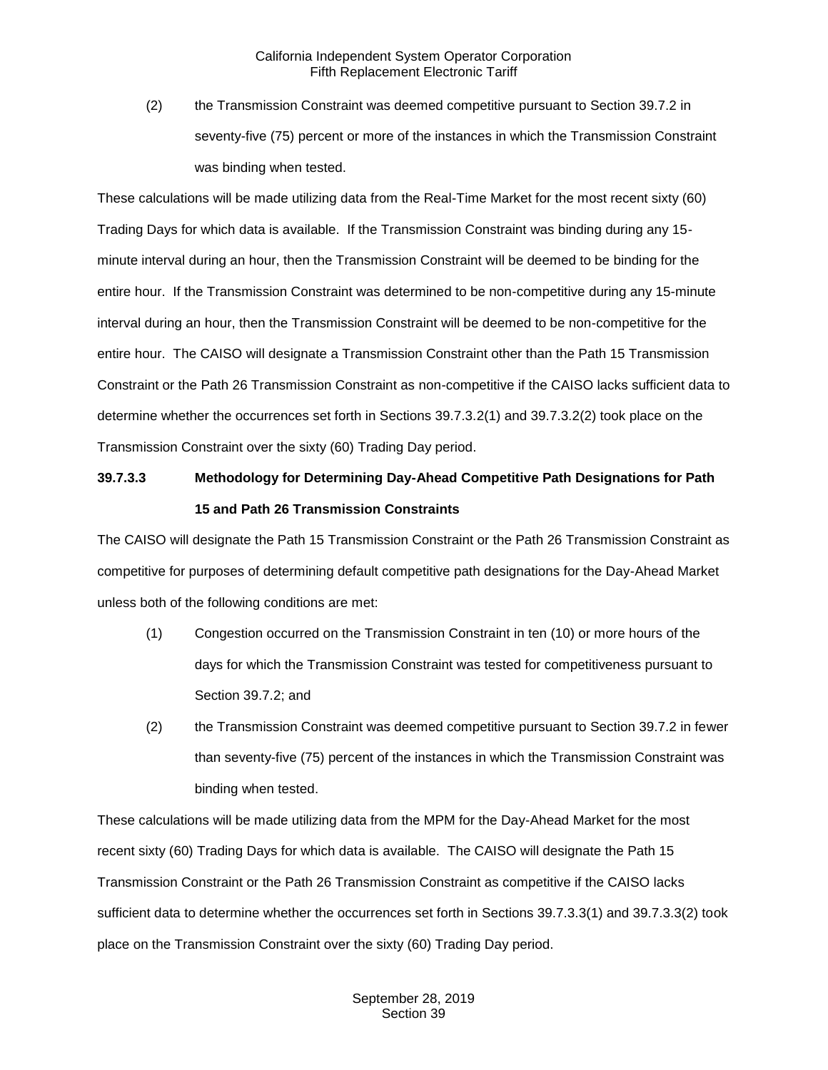(2) the Transmission Constraint was deemed competitive pursuant to Section 39.7.2 in seventy-five (75) percent or more of the instances in which the Transmission Constraint was binding when tested.

These calculations will be made utilizing data from the Real-Time Market for the most recent sixty (60) Trading Days for which data is available. If the Transmission Constraint was binding during any 15 minute interval during an hour, then the Transmission Constraint will be deemed to be binding for the entire hour. If the Transmission Constraint was determined to be non-competitive during any 15-minute interval during an hour, then the Transmission Constraint will be deemed to be non-competitive for the entire hour. The CAISO will designate a Transmission Constraint other than the Path 15 Transmission Constraint or the Path 26 Transmission Constraint as non-competitive if the CAISO lacks sufficient data to determine whether the occurrences set forth in Sections 39.7.3.2(1) and 39.7.3.2(2) took place on the Transmission Constraint over the sixty (60) Trading Day period.

# **39.7.3.3 Methodology for Determining Day-Ahead Competitive Path Designations for Path 15 and Path 26 Transmission Constraints**

The CAISO will designate the Path 15 Transmission Constraint or the Path 26 Transmission Constraint as competitive for purposes of determining default competitive path designations for the Day-Ahead Market unless both of the following conditions are met:

- (1) Congestion occurred on the Transmission Constraint in ten (10) or more hours of the days for which the Transmission Constraint was tested for competitiveness pursuant to Section 39.7.2; and
- (2) the Transmission Constraint was deemed competitive pursuant to Section 39.7.2 in fewer than seventy-five (75) percent of the instances in which the Transmission Constraint was binding when tested.

These calculations will be made utilizing data from the MPM for the Day-Ahead Market for the most recent sixty (60) Trading Days for which data is available. The CAISO will designate the Path 15 Transmission Constraint or the Path 26 Transmission Constraint as competitive if the CAISO lacks sufficient data to determine whether the occurrences set forth in Sections 39.7.3.3(1) and 39.7.3.3(2) took place on the Transmission Constraint over the sixty (60) Trading Day period.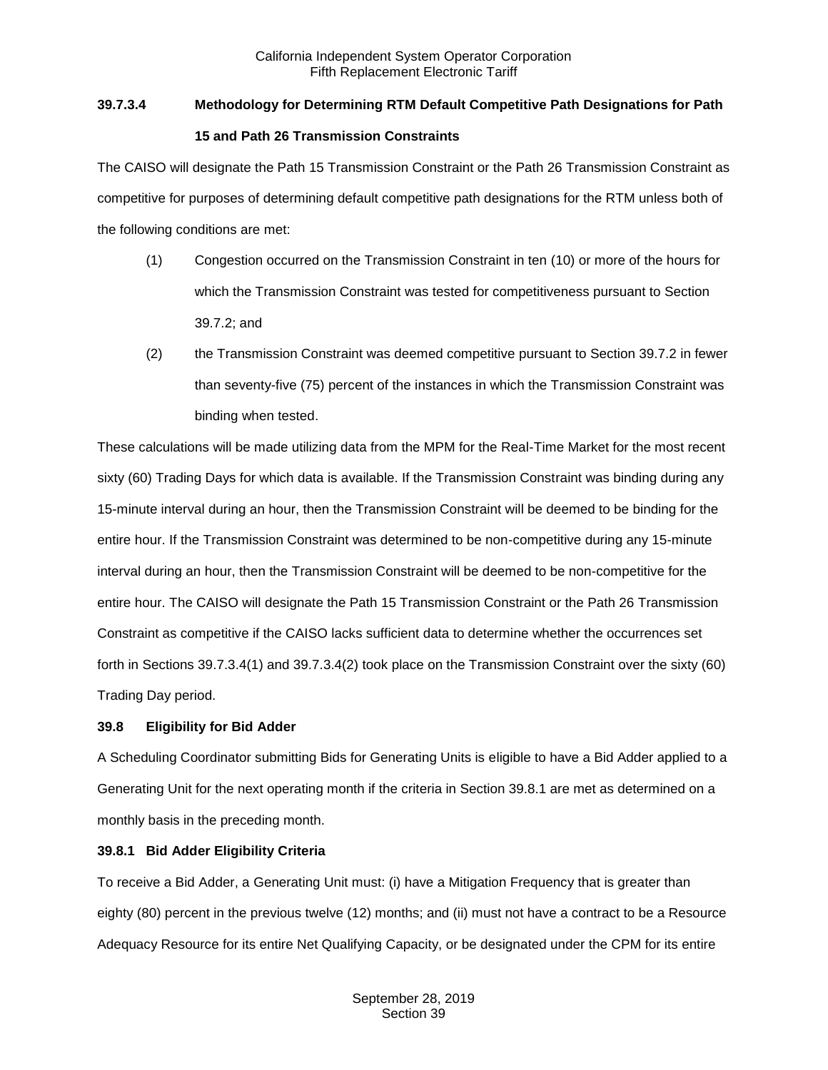# **39.7.3.4 Methodology for Determining RTM Default Competitive Path Designations for Path**

# **15 and Path 26 Transmission Constraints**

The CAISO will designate the Path 15 Transmission Constraint or the Path 26 Transmission Constraint as competitive for purposes of determining default competitive path designations for the RTM unless both of the following conditions are met:

- (1) Congestion occurred on the Transmission Constraint in ten (10) or more of the hours for which the Transmission Constraint was tested for competitiveness pursuant to Section 39.7.2; and
- (2) the Transmission Constraint was deemed competitive pursuant to Section 39.7.2 in fewer than seventy-five (75) percent of the instances in which the Transmission Constraint was binding when tested.

These calculations will be made utilizing data from the MPM for the Real-Time Market for the most recent sixty (60) Trading Days for which data is available. If the Transmission Constraint was binding during any 15-minute interval during an hour, then the Transmission Constraint will be deemed to be binding for the entire hour. If the Transmission Constraint was determined to be non-competitive during any 15-minute interval during an hour, then the Transmission Constraint will be deemed to be non-competitive for the entire hour. The CAISO will designate the Path 15 Transmission Constraint or the Path 26 Transmission Constraint as competitive if the CAISO lacks sufficient data to determine whether the occurrences set forth in Sections 39.7.3.4(1) and 39.7.3.4(2) took place on the Transmission Constraint over the sixty (60) Trading Day period.

# <span id="page-22-0"></span>**39.8 Eligibility for Bid Adder**

A Scheduling Coordinator submitting Bids for Generating Units is eligible to have a Bid Adder applied to a Generating Unit for the next operating month if the criteria in Section 39.8.1 are met as determined on a monthly basis in the preceding month.

# <span id="page-22-1"></span>**39.8.1 Bid Adder Eligibility Criteria**

To receive a Bid Adder, a Generating Unit must: (i) have a Mitigation Frequency that is greater than eighty (80) percent in the previous twelve (12) months; and (ii) must not have a contract to be a Resource Adequacy Resource for its entire Net Qualifying Capacity, or be designated under the CPM for its entire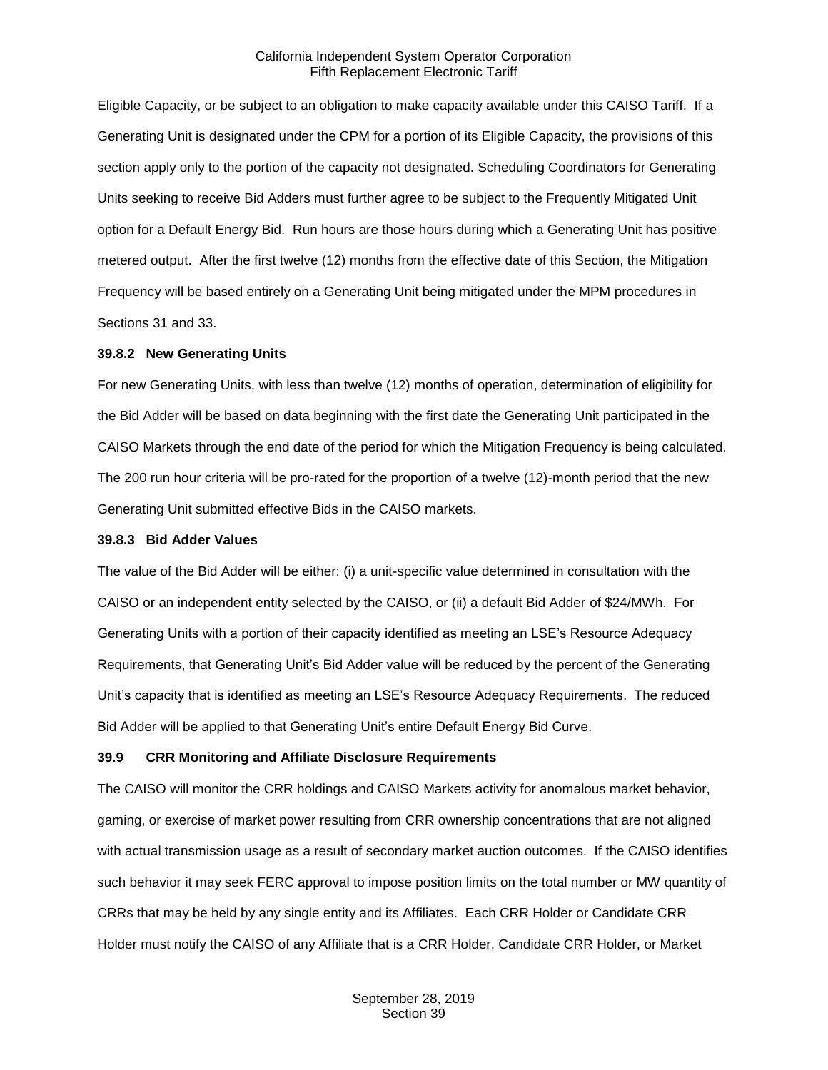Eligible Capacity, or be subject to an obligation to make capacity available under this CAISO Tariff. If a Generating Unit is designated under the CPM for a portion of its Eligible Capacity, the provisions of this section apply only to the portion of the capacity not designated. Scheduling Coordinators for Generating Units seeking to receive Bid Adders must further agree to be subject to the Frequently Mitigated Unit option for a Default Energy Bid. Run hours are those hours during which a Generating Unit has positive metered output. After the first twelve (12) months from the effective date of this Section, the Mitigation Frequency will be based entirely on a Generating Unit being mitigated under the MPM procedures in Sections 31 and 33.

#### <span id="page-23-0"></span>**39.8.2 New Generating Units**

For new Generating Units, with less than twelve (12) months of operation, determination of eligibility for the Bid Adder will be based on data beginning with the first date the Generating Unit participated in the CAISO Markets through the end date of the period for which the Mitigation Frequency is being calculated. The 200 run hour criteria will be pro-rated for the proportion of a twelve (12)-month period that the new Generating Unit submitted effective Bids in the CAISO markets.

#### <span id="page-23-1"></span>**39.8.3 Bid Adder Values**

The value of the Bid Adder will be either: (i) a unit-specific value determined in consultation with the CAISO or an independent entity selected by the CAISO, or (ii) a default Bid Adder of \$24/MWh. For Generating Units with a portion of their capacity identified as meeting an LSE's Resource Adequacy Requirements, that Generating Unit's Bid Adder value will be reduced by the percent of the Generating Unit's capacity that is identified as meeting an LSE's Resource Adequacy Requirements. The reduced Bid Adder will be applied to that Generating Unit's entire Default Energy Bid Curve.

#### <span id="page-23-2"></span>**39.9 CRR Monitoring and Affiliate Disclosure Requirements**

The CAISO will monitor the CRR holdings and CAISO Markets activity for anomalous market behavior, gaming, or exercise of market power resulting from CRR ownership concentrations that are not aligned with actual transmission usage as a result of secondary market auction outcomes. If the CAISO identifies such behavior it may seek FERC approval to impose position limits on the total number or MW quantity of CRRs that may be held by any single entity and its Affiliates. Each CRR Holder or Candidate CRR Holder must notify the CAISO of any Affiliate that is a CRR Holder, Candidate CRR Holder, or Market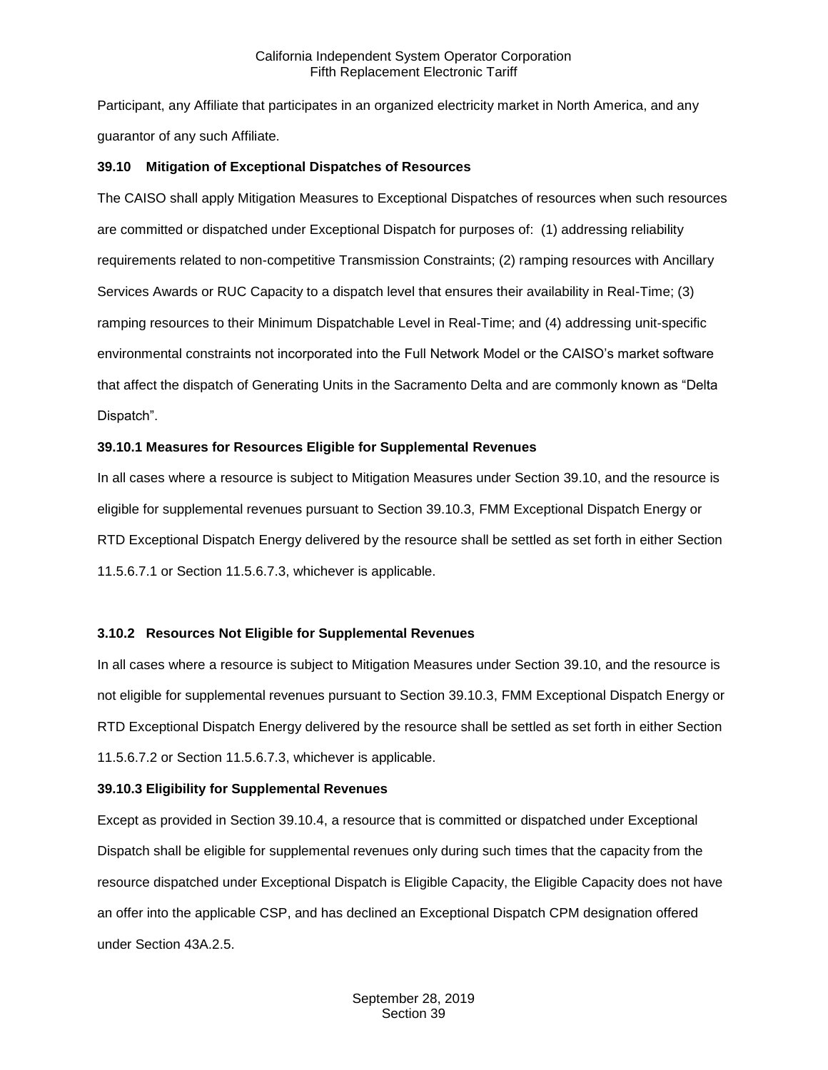Participant, any Affiliate that participates in an organized electricity market in North America, and any guarantor of any such Affiliate.

#### <span id="page-24-0"></span>**39.10 Mitigation of Exceptional Dispatches of Resources**

The CAISO shall apply Mitigation Measures to Exceptional Dispatches of resources when such resources are committed or dispatched under Exceptional Dispatch for purposes of: (1) addressing reliability requirements related to non-competitive Transmission Constraints; (2) ramping resources with Ancillary Services Awards or RUC Capacity to a dispatch level that ensures their availability in Real-Time; (3) ramping resources to their Minimum Dispatchable Level in Real-Time; and (4) addressing unit-specific environmental constraints not incorporated into the Full Network Model or the CAISO's market software that affect the dispatch of Generating Units in the Sacramento Delta and are commonly known as "Delta Dispatch".

#### <span id="page-24-1"></span>**39.10.1 Measures for Resources Eligible for Supplemental Revenues**

In all cases where a resource is subject to Mitigation Measures under Section 39.10, and the resource is eligible for supplemental revenues pursuant to Section 39.10.3, FMM Exceptional Dispatch Energy or RTD Exceptional Dispatch Energy delivered by the resource shall be settled as set forth in either Section 11.5.6.7.1 or Section 11.5.6.7.3, whichever is applicable.

#### <span id="page-24-2"></span>**3.10.2 Resources Not Eligible for Supplemental Revenues**

In all cases where a resource is subject to Mitigation Measures under Section 39.10, and the resource is not eligible for supplemental revenues pursuant to Section 39.10.3, FMM Exceptional Dispatch Energy or RTD Exceptional Dispatch Energy delivered by the resource shall be settled as set forth in either Section 11.5.6.7.2 or Section 11.5.6.7.3, whichever is applicable.

#### <span id="page-24-3"></span>**39.10.3 Eligibility for Supplemental Revenues**

Except as provided in Section 39.10.4, a resource that is committed or dispatched under Exceptional Dispatch shall be eligible for supplemental revenues only during such times that the capacity from the resource dispatched under Exceptional Dispatch is Eligible Capacity, the Eligible Capacity does not have an offer into the applicable CSP, and has declined an Exceptional Dispatch CPM designation offered under Section 43A.2.5.